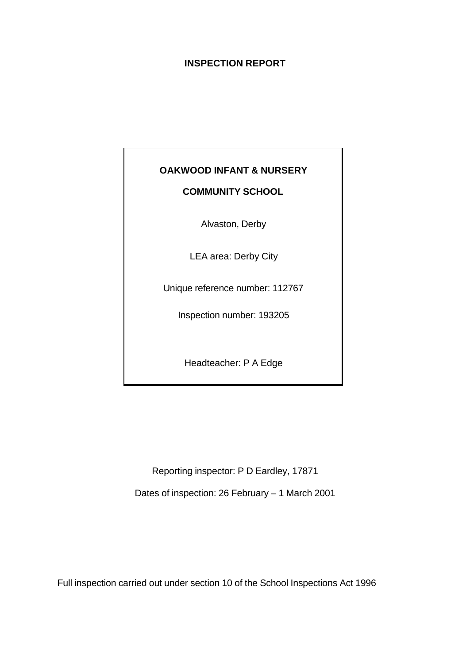### **INSPECTION REPORT**

# **OAKWOOD INFANT & NURSERY COMMUNITY SCHOOL** Alvaston, Derby LEA area: Derby City Unique reference number: 112767 Inspection number: 193205 Headteacher: P A Edge

Reporting inspector: P D Eardley, 17871

Dates of inspection: 26 February – 1 March 2001

Full inspection carried out under section 10 of the School Inspections Act 1996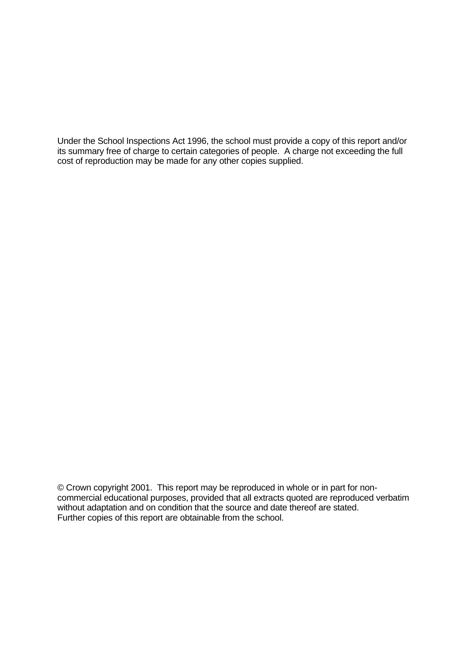Under the School Inspections Act 1996, the school must provide a copy of this report and/or its summary free of charge to certain categories of people. A charge not exceeding the full cost of reproduction may be made for any other copies supplied.

© Crown copyright 2001. This report may be reproduced in whole or in part for noncommercial educational purposes, provided that all extracts quoted are reproduced verbatim without adaptation and on condition that the source and date thereof are stated. Further copies of this report are obtainable from the school.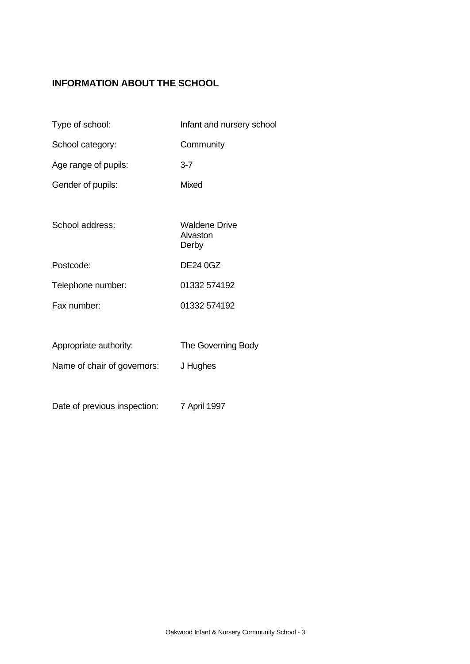# **INFORMATION ABOUT THE SCHOOL**

Type of school: Infant and nursery school School category: Community Age range of pupils: 3-7 Gender of pupils: Mixed School address: Waldene Drive Alvaston Derby Postcode: DE24 0GZ Telephone number: 01332 574192 Fax number: 01332 574192 Appropriate authority: The Governing Body Name of chair of governors: J Hughes Date of previous inspection: 7 April 1997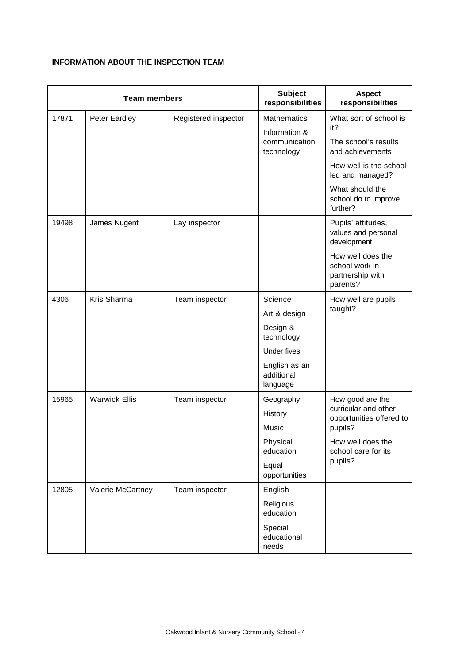### **INFORMATION ABOUT THE INSPECTION TEAM**

|       | <b>Team members</b>  |                      | <b>Subject</b><br>responsibilities                                                                                 | <b>Aspect</b><br>responsibilities                                                                                                                                              |
|-------|----------------------|----------------------|--------------------------------------------------------------------------------------------------------------------|--------------------------------------------------------------------------------------------------------------------------------------------------------------------------------|
| 17871 | Peter Eardley        | Registered inspector | <b>Mathematics</b><br>Information &<br>communication<br>technology                                                 | What sort of school is<br>it?<br>The school's results<br>and achievements<br>How well is the school<br>led and managed?<br>What should the<br>school do to improve<br>further? |
| 19498 | James Nugent         | Lay inspector        |                                                                                                                    | Pupils' attitudes,<br>values and personal<br>development<br>How well does the<br>school work in<br>partnership with<br>parents?                                                |
| 4306  | Kris Sharma          | Team inspector       | Science<br>Art & design<br>Design &<br>technology<br><b>Under fives</b><br>English as an<br>additional<br>language | How well are pupils<br>taught?                                                                                                                                                 |
| 15965 | <b>Warwick Ellis</b> | Team inspector       | Geography<br>History<br>Music<br>Physical<br>education<br>Equal<br>opportunities                                   | How good are the<br>curricular and other<br>opportunities offered to<br>pupils?<br>How well does the<br>school care for its<br>pupils?                                         |
| 12805 | Valerie McCartney    | Team inspector       | English<br>Religious<br>education<br>Special<br>educational<br>needs                                               |                                                                                                                                                                                |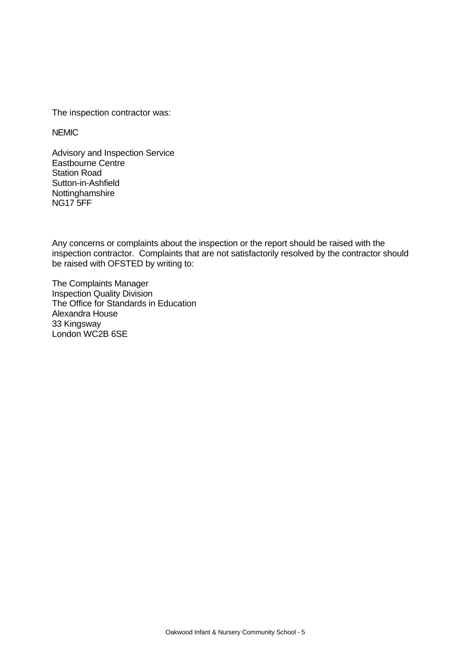The inspection contractor was:

NEMIC

Advisory and Inspection Service Eastbourne Centre Station Road Sutton-in-Ashfield Nottinghamshire NG17 5FF

Any concerns or complaints about the inspection or the report should be raised with the inspection contractor. Complaints that are not satisfactorily resolved by the contractor should be raised with OFSTED by writing to:

The Complaints Manager Inspection Quality Division The Office for Standards in Education Alexandra House 33 Kingsway London WC2B 6SE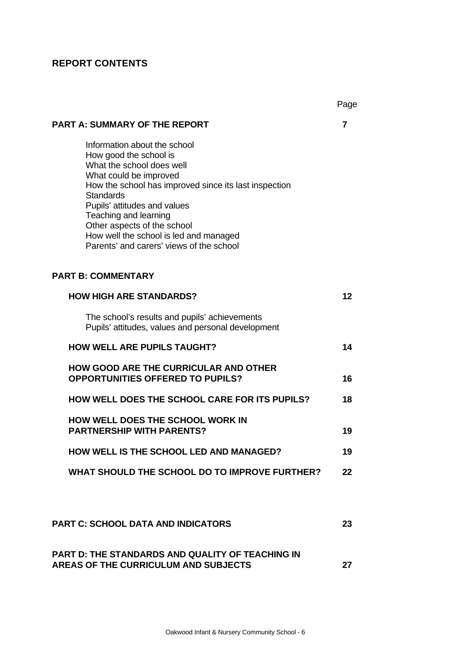# **REPORT CONTENTS**

|                                                                                                                                                                                                                                                                                                                                                                          | Page |
|--------------------------------------------------------------------------------------------------------------------------------------------------------------------------------------------------------------------------------------------------------------------------------------------------------------------------------------------------------------------------|------|
| <b>PART A: SUMMARY OF THE REPORT</b>                                                                                                                                                                                                                                                                                                                                     | 7    |
| Information about the school<br>How good the school is<br>What the school does well<br>What could be improved<br>How the school has improved since its last inspection<br><b>Standards</b><br>Pupils' attitudes and values<br>Teaching and learning<br>Other aspects of the school<br>How well the school is led and managed<br>Parents' and carers' views of the school |      |
| <b>PART B: COMMENTARY</b>                                                                                                                                                                                                                                                                                                                                                |      |
| <b>HOW HIGH ARE STANDARDS?</b>                                                                                                                                                                                                                                                                                                                                           | 12   |
| The school's results and pupils' achievements<br>Pupils' attitudes, values and personal development                                                                                                                                                                                                                                                                      |      |
| <b>HOW WELL ARE PUPILS TAUGHT?</b>                                                                                                                                                                                                                                                                                                                                       | 14   |
| <b>HOW GOOD ARE THE CURRICULAR AND OTHER</b><br><b>OPPORTUNITIES OFFERED TO PUPILS?</b>                                                                                                                                                                                                                                                                                  | 16   |
| <b>HOW WELL DOES THE SCHOOL CARE FOR ITS PUPILS?</b>                                                                                                                                                                                                                                                                                                                     | 18   |
| <b>HOW WELL DOES THE SCHOOL WORK IN</b><br><b>PARTNERSHIP WITH PARENTS?</b>                                                                                                                                                                                                                                                                                              | 19   |
| <b>HOW WELL IS THE SCHOOL LED AND MANAGED?</b>                                                                                                                                                                                                                                                                                                                           | 19   |
| WHAT SHOULD THE SCHOOL DO TO IMPROVE FURTHER?                                                                                                                                                                                                                                                                                                                            | 22   |
|                                                                                                                                                                                                                                                                                                                                                                          |      |
| <b>PART C: SCHOOL DATA AND INDICATORS</b>                                                                                                                                                                                                                                                                                                                                | 23   |
| <b>PART D: THE STANDARDS AND QUALITY OF TEACHING IN</b><br><b>AREAS OF THE CURRICULUM AND SUBJECTS</b>                                                                                                                                                                                                                                                                   | 27   |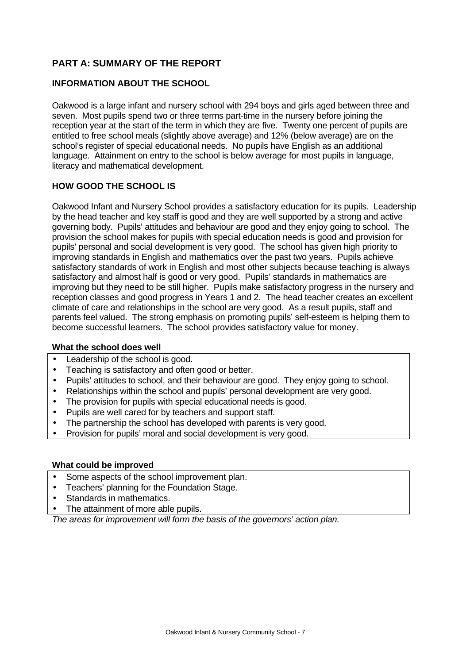### **PART A: SUMMARY OF THE REPORT**

### **INFORMATION ABOUT THE SCHOOL**

Oakwood is a large infant and nursery school with 294 boys and girls aged between three and seven. Most pupils spend two or three terms part-time in the nursery before joining the reception year at the start of the term in which they are five. Twenty one percent of pupils are entitled to free school meals (slightly above average) and 12% (below average) are on the school's register of special educational needs. No pupils have English as an additional language. Attainment on entry to the school is below average for most pupils in language, literacy and mathematical development.

### **HOW GOOD THE SCHOOL IS**

Oakwood Infant and Nursery School provides a satisfactory education for its pupils. Leadership by the head teacher and key staff is good and they are well supported by a strong and active governing body. Pupils' attitudes and behaviour are good and they enjoy going to school. The provision the school makes for pupils with special education needs is good and provision for pupils' personal and social development is very good. The school has given high priority to improving standards in English and mathematics over the past two years. Pupils achieve satisfactory standards of work in English and most other subjects because teaching is always satisfactory and almost half is good or very good. Pupils' standards in mathematics are improving but they need to be still higher. Pupils make satisfactory progress in the nursery and reception classes and good progress in Years 1 and 2. The head teacher creates an excellent climate of care and relationships in the school are very good. As a result pupils, staff and parents feel valued. The strong emphasis on promoting pupils' self-esteem is helping them to become successful learners. The school provides satisfactory value for money.

### **What the school does well**

- Leadership of the school is good.
- Teaching is satisfactory and often good or better.
- Pupils' attitudes to school, and their behaviour are good. They enjoy going to school.
- Relationships within the school and pupils' personal development are very good.
- The provision for pupils with special educational needs is good.
- Pupils are well cared for by teachers and support staff.
- The partnership the school has developed with parents is very good.
- Provision for pupils' moral and social development is very good.

### **What could be improved**

- Some aspects of the school improvement plan.
- Teachers' planning for the Foundation Stage.
- Standards in mathematics.
- The attainment of more able pupils.

*The areas for improvement will form the basis of the governors' action plan.*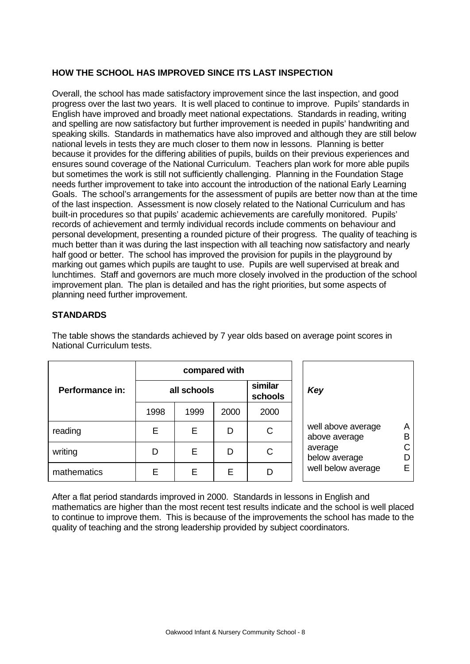### **HOW THE SCHOOL HAS IMPROVED SINCE ITS LAST INSPECTION**

Overall, the school has made satisfactory improvement since the last inspection, and good progress over the last two years. It is well placed to continue to improve. Pupils' standards in English have improved and broadly meet national expectations. Standards in reading, writing and spelling are now satisfactory but further improvement is needed in pupils' handwriting and speaking skills. Standards in mathematics have also improved and although they are still below national levels in tests they are much closer to them now in lessons. Planning is better because it provides for the differing abilities of pupils, builds on their previous experiences and ensures sound coverage of the National Curriculum. Teachers plan work for more able pupils but sometimes the work is still not sufficiently challenging. Planning in the Foundation Stage needs further improvement to take into account the introduction of the national Early Learning Goals. The school's arrangements for the assessment of pupils are better now than at the time of the last inspection. Assessment is now closely related to the National Curriculum and has built-in procedures so that pupils' academic achievements are carefully monitored. Pupils' records of achievement and termly individual records include comments on behaviour and personal development, presenting a rounded picture of their progress. The quality of teaching is much better than it was during the last inspection with all teaching now satisfactory and nearly half good or better. The school has improved the provision for pupils in the playground by marking out games which pupils are taught to use. Pupils are well supervised at break and lunchtimes. Staff and governors are much more closely involved in the production of the school improvement plan. The plan is detailed and has the right priorities, but some aspects of planning need further improvement.

### **STANDARDS**

|                 |             |      | compared with |                    |                                               |
|-----------------|-------------|------|---------------|--------------------|-----------------------------------------------|
| Performance in: | all schools |      |               | similar<br>schools | Key                                           |
|                 | 1998        | 1999 | 2000          | 2000               |                                               |
| reading         | Е           | E    | D             | С                  | well above average<br>Α<br>above average<br>в |
| writing         | D           | E    | D             | C                  | average<br>below average                      |
| mathematics     | E           | Е    | E             |                    | well below average<br>F                       |

The table shows the standards achieved by 7 year olds based on average point scores in National Curriculum tests.

After a flat period standards improved in 2000. Standards in lessons in English and mathematics are higher than the most recent test results indicate and the school is well placed to continue to improve them. This is because of the improvements the school has made to the quality of teaching and the strong leadership provided by subject coordinators.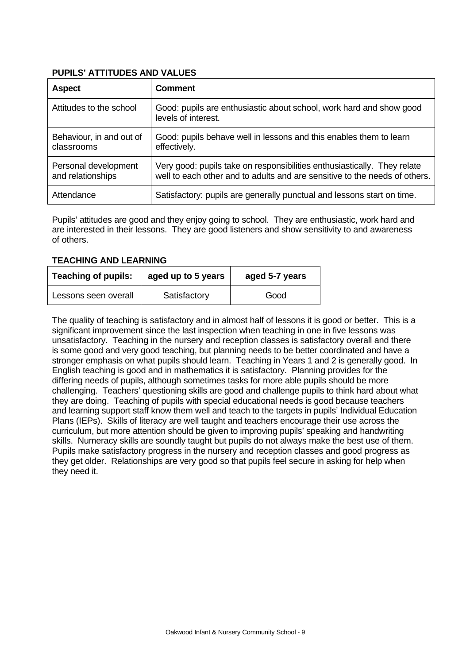### **PUPILS' ATTITUDES AND VALUES**

| <b>Aspect</b>                             | <b>Comment</b>                                                                                                                                         |
|-------------------------------------------|--------------------------------------------------------------------------------------------------------------------------------------------------------|
| Attitudes to the school                   | Good: pupils are enthusiastic about school, work hard and show good<br>levels of interest.                                                             |
| Behaviour, in and out of<br>classrooms    | Good: pupils behave well in lessons and this enables them to learn<br>effectively.                                                                     |
| Personal development<br>and relationships | Very good: pupils take on responsibilities enthusiastically. They relate<br>well to each other and to adults and are sensitive to the needs of others. |
| Attendance                                | Satisfactory: pupils are generally punctual and lessons start on time.                                                                                 |

Pupils' attitudes are good and they enjoy going to school. They are enthusiastic, work hard and are interested in their lessons. They are good listeners and show sensitivity to and awareness of others.

### **TEACHING AND LEARNING**

| <b>Teaching of pupils:</b> | aged up to 5 years | aged 5-7 years |
|----------------------------|--------------------|----------------|
| Lessons seen overall       | Satisfactory       | Good           |

The quality of teaching is satisfactory and in almost half of lessons it is good or better. This is a significant improvement since the last inspection when teaching in one in five lessons was unsatisfactory. Teaching in the nursery and reception classes is satisfactory overall and there is some good and very good teaching, but planning needs to be better coordinated and have a stronger emphasis on what pupils should learn. Teaching in Years 1 and 2 is generally good. In English teaching is good and in mathematics it is satisfactory. Planning provides for the differing needs of pupils, although sometimes tasks for more able pupils should be more challenging. Teachers' questioning skills are good and challenge pupils to think hard about what they are doing. Teaching of pupils with special educational needs is good because teachers and learning support staff know them well and teach to the targets in pupils' Individual Education Plans (IEPs). Skills of literacy are well taught and teachers encourage their use across the curriculum, but more attention should be given to improving pupils' speaking and handwriting skills. Numeracy skills are soundly taught but pupils do not always make the best use of them. Pupils make satisfactory progress in the nursery and reception classes and good progress as they get older. Relationships are very good so that pupils feel secure in asking for help when they need it.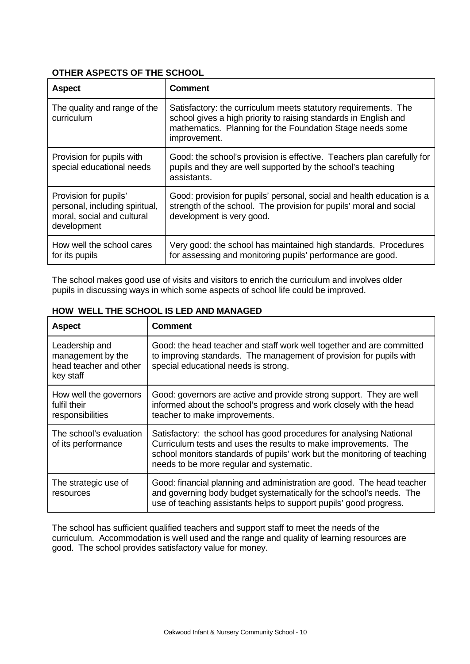### **OTHER ASPECTS OF THE SCHOOL**

| <b>Aspect</b>                                                                                        | <b>Comment</b>                                                                                                                                                                                                  |
|------------------------------------------------------------------------------------------------------|-----------------------------------------------------------------------------------------------------------------------------------------------------------------------------------------------------------------|
| The quality and range of the<br>curriculum                                                           | Satisfactory: the curriculum meets statutory requirements. The<br>school gives a high priority to raising standards in English and<br>mathematics. Planning for the Foundation Stage needs some<br>improvement. |
| Provision for pupils with<br>special educational needs                                               | Good: the school's provision is effective. Teachers plan carefully for<br>pupils and they are well supported by the school's teaching<br>assistants.                                                            |
| Provision for pupils'<br>personal, including spiritual,<br>moral, social and cultural<br>development | Good: provision for pupils' personal, social and health education is a<br>strength of the school. The provision for pupils' moral and social<br>development is very good.                                       |
| How well the school cares<br>for its pupils                                                          | Very good: the school has maintained high standards. Procedures<br>for assessing and monitoring pupils' performance are good.                                                                                   |

The school makes good use of visits and visitors to enrich the curriculum and involves older pupils in discussing ways in which some aspects of school life could be improved.

| <b>Aspect</b>                                                              | <b>Comment</b>                                                                                                                                                                                                                                                 |
|----------------------------------------------------------------------------|----------------------------------------------------------------------------------------------------------------------------------------------------------------------------------------------------------------------------------------------------------------|
| Leadership and<br>management by the<br>head teacher and other<br>key staff | Good: the head teacher and staff work well together and are committed<br>to improving standards. The management of provision for pupils with<br>special educational needs is strong.                                                                           |
| How well the governors<br>fulfil their<br>responsibilities                 | Good: governors are active and provide strong support. They are well<br>informed about the school's progress and work closely with the head<br>teacher to make improvements.                                                                                   |
| The school's evaluation<br>of its performance                              | Satisfactory: the school has good procedures for analysing National<br>Curriculum tests and uses the results to make improvements. The<br>school monitors standards of pupils' work but the monitoring of teaching<br>needs to be more regular and systematic. |
| The strategic use of<br>resources                                          | Good: financial planning and administration are good. The head teacher<br>and governing body budget systematically for the school's needs. The<br>use of teaching assistants helps to support pupils' good progress.                                           |

### **HOW WELL THE SCHOOL IS LED AND MANAGED**

The school has sufficient qualified teachers and support staff to meet the needs of the curriculum. Accommodation is well used and the range and quality of learning resources are good. The school provides satisfactory value for money.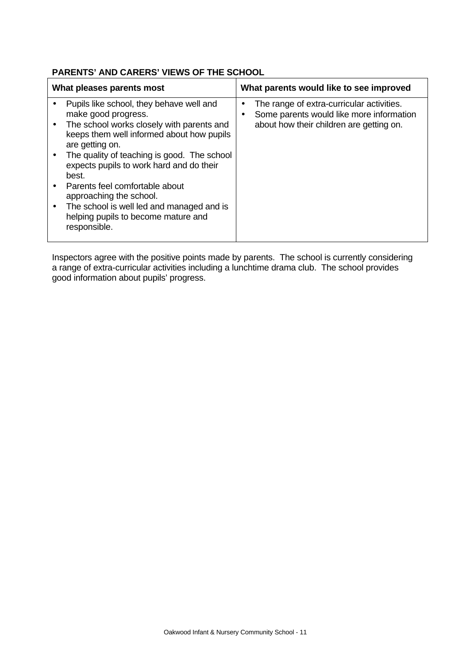### **PARENTS' AND CARERS' VIEWS OF THE SCHOOL**

| What pleases parents most                   | What parents would like to see improved   |
|---------------------------------------------|-------------------------------------------|
| Pupils like school, they behave well and    | The range of extra-curricular activities. |
| make good progress.                         | Some parents would like more information  |
| The school works closely with parents and   | about how their children are getting on.  |
| keeps them well informed about how pupils   |                                           |
| are getting on.                             |                                           |
| The quality of teaching is good. The school |                                           |
| expects pupils to work hard and do their    |                                           |
| best.                                       |                                           |
| Parents feel comfortable about              |                                           |
| approaching the school.                     |                                           |
| The school is well led and managed and is   |                                           |
| helping pupils to become mature and         |                                           |
| responsible.                                |                                           |
|                                             |                                           |

Inspectors agree with the positive points made by parents. The school is currently considering a range of extra-curricular activities including a lunchtime drama club. The school provides good information about pupils' progress.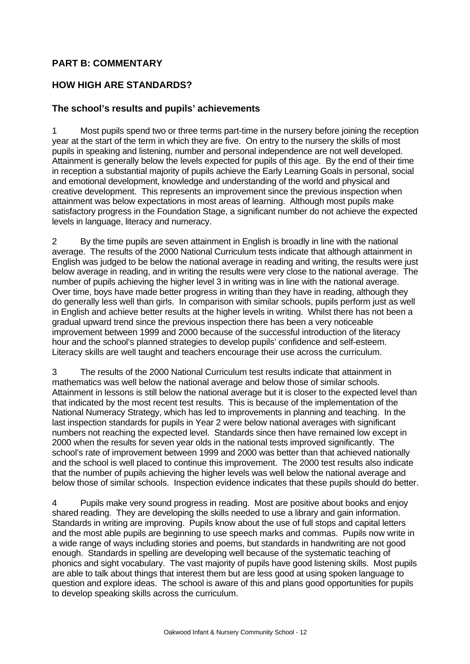### **PART B: COMMENTARY**

### **HOW HIGH ARE STANDARDS?**

### **The school's results and pupils' achievements**

1 Most pupils spend two or three terms part-time in the nursery before joining the reception year at the start of the term in which they are five. On entry to the nursery the skills of most pupils in speaking and listening, number and personal independence are not well developed. Attainment is generally below the levels expected for pupils of this age. By the end of their time in reception a substantial majority of pupils achieve the Early Learning Goals in personal, social and emotional development, knowledge and understanding of the world and physical and creative development. This represents an improvement since the previous inspection when attainment was below expectations in most areas of learning. Although most pupils make satisfactory progress in the Foundation Stage, a significant number do not achieve the expected levels in language, literacy and numeracy.

2 By the time pupils are seven attainment in English is broadly in line with the national average. The results of the 2000 National Curriculum tests indicate that although attainment in English was judged to be below the national average in reading and writing, the results were just below average in reading, and in writing the results were very close to the national average. The number of pupils achieving the higher level 3 in writing was in line with the national average. Over time, boys have made better progress in writing than they have in reading, although they do generally less well than girls. In comparison with similar schools, pupils perform just as well in English and achieve better results at the higher levels in writing. Whilst there has not been a gradual upward trend since the previous inspection there has been a very noticeable improvement between 1999 and 2000 because of the successful introduction of the literacy hour and the school's planned strategies to develop pupils' confidence and self-esteem. Literacy skills are well taught and teachers encourage their use across the curriculum.

3 The results of the 2000 National Curriculum test results indicate that attainment in mathematics was well below the national average and below those of similar schools. Attainment in lessons is still below the national average but it is closer to the expected level than that indicated by the most recent test results. This is because of the implementation of the National Numeracy Strategy, which has led to improvements in planning and teaching. In the last inspection standards for pupils in Year 2 were below national averages with significant numbers not reaching the expected level. Standards since then have remained low except in 2000 when the results for seven year olds in the national tests improved significantly. The school's rate of improvement between 1999 and 2000 was better than that achieved nationally and the school is well placed to continue this improvement. The 2000 test results also indicate that the number of pupils achieving the higher levels was well below the national average and below those of similar schools. Inspection evidence indicates that these pupils should do better.

4 Pupils make very sound progress in reading. Most are positive about books and enjoy shared reading. They are developing the skills needed to use a library and gain information. Standards in writing are improving. Pupils know about the use of full stops and capital letters and the most able pupils are beginning to use speech marks and commas. Pupils now write in a wide range of ways including stories and poems, but standards in handwriting are not good enough. Standards in spelling are developing well because of the systematic teaching of phonics and sight vocabulary. The vast majority of pupils have good listening skills. Most pupils are able to talk about things that interest them but are less good at using spoken language to question and explore ideas. The school is aware of this and plans good opportunities for pupils to develop speaking skills across the curriculum.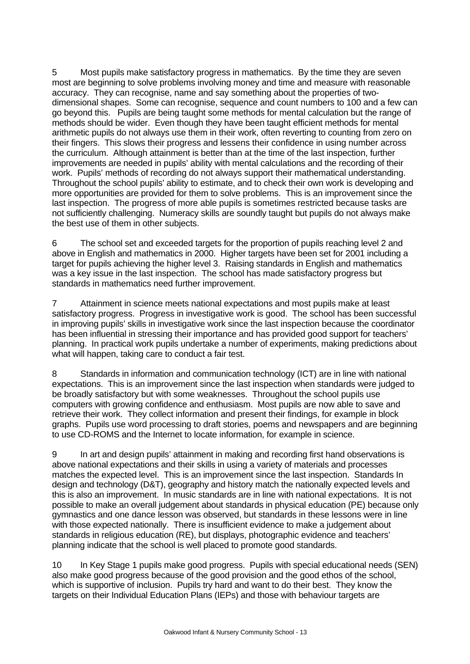5 Most pupils make satisfactory progress in mathematics. By the time they are seven most are beginning to solve problems involving money and time and measure with reasonable accuracy. They can recognise, name and say something about the properties of twodimensional shapes. Some can recognise, sequence and count numbers to 100 and a few can go beyond this. Pupils are being taught some methods for mental calculation but the range of methods should be wider. Even though they have been taught efficient methods for mental arithmetic pupils do not always use them in their work, often reverting to counting from zero on their fingers. This slows their progress and lessens their confidence in using number across the curriculum. Although attainment is better than at the time of the last inspection, further improvements are needed in pupils' ability with mental calculations and the recording of their work. Pupils' methods of recording do not always support their mathematical understanding. Throughout the school pupils' ability to estimate, and to check their own work is developing and more opportunities are provided for them to solve problems. This is an improvement since the last inspection. The progress of more able pupils is sometimes restricted because tasks are not sufficiently challenging. Numeracy skills are soundly taught but pupils do not always make the best use of them in other subjects.

6 The school set and exceeded targets for the proportion of pupils reaching level 2 and above in English and mathematics in 2000. Higher targets have been set for 2001 including a target for pupils achieving the higher level 3. Raising standards in English and mathematics was a key issue in the last inspection. The school has made satisfactory progress but standards in mathematics need further improvement.

7 Attainment in science meets national expectations and most pupils make at least satisfactory progress. Progress in investigative work is good. The school has been successful in improving pupils' skills in investigative work since the last inspection because the coordinator has been influential in stressing their importance and has provided good support for teachers' planning. In practical work pupils undertake a number of experiments, making predictions about what will happen, taking care to conduct a fair test.

8 Standards in information and communication technology (ICT) are in line with national expectations. This is an improvement since the last inspection when standards were judged to be broadly satisfactory but with some weaknesses. Throughout the school pupils use computers with growing confidence and enthusiasm. Most pupils are now able to save and retrieve their work. They collect information and present their findings, for example in block graphs. Pupils use word processing to draft stories, poems and newspapers and are beginning to use CD-ROMS and the Internet to locate information, for example in science.

9 In art and design pupils' attainment in making and recording first hand observations is above national expectations and their skills in using a variety of materials and processes matches the expected level. This is an improvement since the last inspection. Standards In design and technology (D&T), geography and history match the nationally expected levels and this is also an improvement. In music standards are in line with national expectations. It is not possible to make an overall judgement about standards in physical education (PE) because only gymnastics and one dance lesson was observed, but standards in these lessons were in line with those expected nationally. There is insufficient evidence to make a judgement about standards in religious education (RE), but displays, photographic evidence and teachers' planning indicate that the school is well placed to promote good standards.

10 In Key Stage 1 pupils make good progress. Pupils with special educational needs (SEN) also make good progress because of the good provision and the good ethos of the school, which is supportive of inclusion. Pupils try hard and want to do their best. They know the targets on their Individual Education Plans (IEPs) and those with behaviour targets are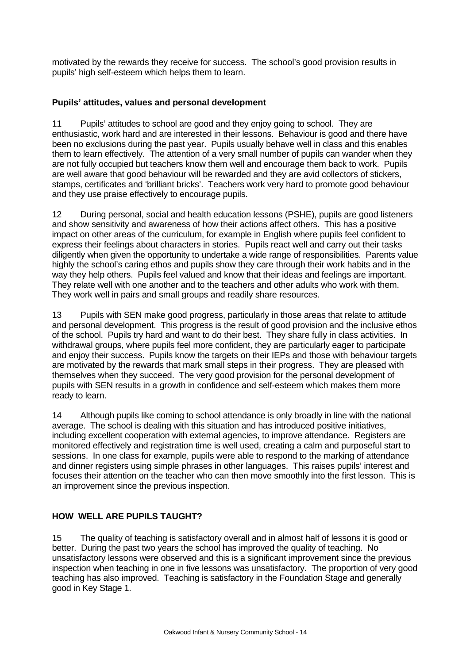motivated by the rewards they receive for success. The school's good provision results in pupils' high self-esteem which helps them to learn.

### **Pupils' attitudes, values and personal development**

11 Pupils' attitudes to school are good and they enjoy going to school. They are enthusiastic, work hard and are interested in their lessons. Behaviour is good and there have been no exclusions during the past year. Pupils usually behave well in class and this enables them to learn effectively. The attention of a very small number of pupils can wander when they are not fully occupied but teachers know them well and encourage them back to work. Pupils are well aware that good behaviour will be rewarded and they are avid collectors of stickers, stamps, certificates and 'brilliant bricks'. Teachers work very hard to promote good behaviour and they use praise effectively to encourage pupils.

12 During personal, social and health education lessons (PSHE), pupils are good listeners and show sensitivity and awareness of how their actions affect others. This has a positive impact on other areas of the curriculum, for example in English where pupils feel confident to express their feelings about characters in stories. Pupils react well and carry out their tasks diligently when given the opportunity to undertake a wide range of responsibilities. Parents value highly the school's caring ethos and pupils show they care through their work habits and in the way they help others. Pupils feel valued and know that their ideas and feelings are important. They relate well with one another and to the teachers and other adults who work with them. They work well in pairs and small groups and readily share resources.

13 Pupils with SEN make good progress, particularly in those areas that relate to attitude and personal development. This progress is the result of good provision and the inclusive ethos of the school. Pupils try hard and want to do their best. They share fully in class activities. In withdrawal groups, where pupils feel more confident, they are particularly eager to participate and enjoy their success. Pupils know the targets on their IEPs and those with behaviour targets are motivated by the rewards that mark small steps in their progress. They are pleased with themselves when they succeed. The very good provision for the personal development of pupils with SEN results in a growth in confidence and self-esteem which makes them more ready to learn.

14 Although pupils like coming to school attendance is only broadly in line with the national average. The school is dealing with this situation and has introduced positive initiatives, including excellent cooperation with external agencies, to improve attendance. Registers are monitored effectively and registration time is well used, creating a calm and purposeful start to sessions. In one class for example, pupils were able to respond to the marking of attendance and dinner registers using simple phrases in other languages. This raises pupils' interest and focuses their attention on the teacher who can then move smoothly into the first lesson. This is an improvement since the previous inspection.

### **HOW WELL ARE PUPILS TAUGHT?**

15 The quality of teaching is satisfactory overall and in almost half of lessons it is good or better. During the past two years the school has improved the quality of teaching. No unsatisfactory lessons were observed and this is a significant improvement since the previous inspection when teaching in one in five lessons was unsatisfactory. The proportion of very good teaching has also improved. Teaching is satisfactory in the Foundation Stage and generally good in Key Stage 1.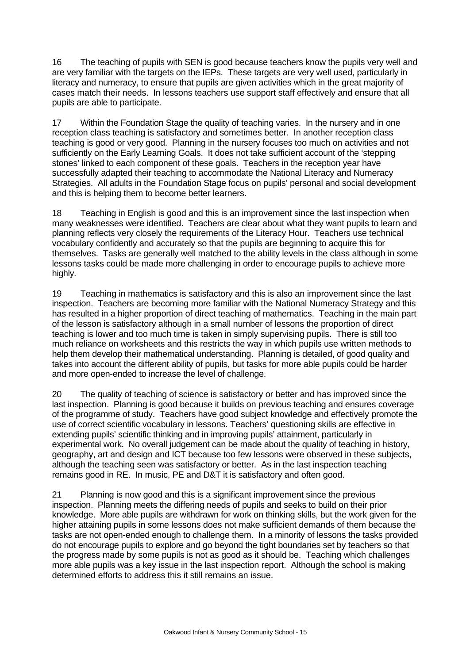16 The teaching of pupils with SEN is good because teachers know the pupils very well and are very familiar with the targets on the IEPs. These targets are very well used, particularly in literacy and numeracy, to ensure that pupils are given activities which in the great majority of cases match their needs. In lessons teachers use support staff effectively and ensure that all pupils are able to participate.

17 Within the Foundation Stage the quality of teaching varies. In the nursery and in one reception class teaching is satisfactory and sometimes better. In another reception class teaching is good or very good. Planning in the nursery focuses too much on activities and not sufficiently on the Early Learning Goals. It does not take sufficient account of the 'stepping stones' linked to each component of these goals. Teachers in the reception year have successfully adapted their teaching to accommodate the National Literacy and Numeracy Strategies. All adults in the Foundation Stage focus on pupils' personal and social development and this is helping them to become better learners.

18 Teaching in English is good and this is an improvement since the last inspection when many weaknesses were identified. Teachers are clear about what they want pupils to learn and planning reflects very closely the requirements of the Literacy Hour. Teachers use technical vocabulary confidently and accurately so that the pupils are beginning to acquire this for themselves. Tasks are generally well matched to the ability levels in the class although in some lessons tasks could be made more challenging in order to encourage pupils to achieve more highly.

19 Teaching in mathematics is satisfactory and this is also an improvement since the last inspection. Teachers are becoming more familiar with the National Numeracy Strategy and this has resulted in a higher proportion of direct teaching of mathematics. Teaching in the main part of the lesson is satisfactory although in a small number of lessons the proportion of direct teaching is lower and too much time is taken in simply supervising pupils. There is still too much reliance on worksheets and this restricts the way in which pupils use written methods to help them develop their mathematical understanding. Planning is detailed, of good quality and takes into account the different ability of pupils, but tasks for more able pupils could be harder and more open-ended to increase the level of challenge.

20 The quality of teaching of science is satisfactory or better and has improved since the last inspection. Planning is good because it builds on previous teaching and ensures coverage of the programme of study. Teachers have good subject knowledge and effectively promote the use of correct scientific vocabulary in lessons. Teachers' questioning skills are effective in extending pupils' scientific thinking and in improving pupils' attainment, particularly in experimental work. No overall judgement can be made about the quality of teaching in history, geography, art and design and ICT because too few lessons were observed in these subjects, although the teaching seen was satisfactory or better. As in the last inspection teaching remains good in RE. In music, PE and D&T it is satisfactory and often good.

21 Planning is now good and this is a significant improvement since the previous inspection. Planning meets the differing needs of pupils and seeks to build on their prior knowledge. More able pupils are withdrawn for work on thinking skills, but the work given for the higher attaining pupils in some lessons does not make sufficient demands of them because the tasks are not open-ended enough to challenge them. In a minority of lessons the tasks provided do not encourage pupils to explore and go beyond the tight boundaries set by teachers so that the progress made by some pupils is not as good as it should be. Teaching which challenges more able pupils was a key issue in the last inspection report. Although the school is making determined efforts to address this it still remains an issue.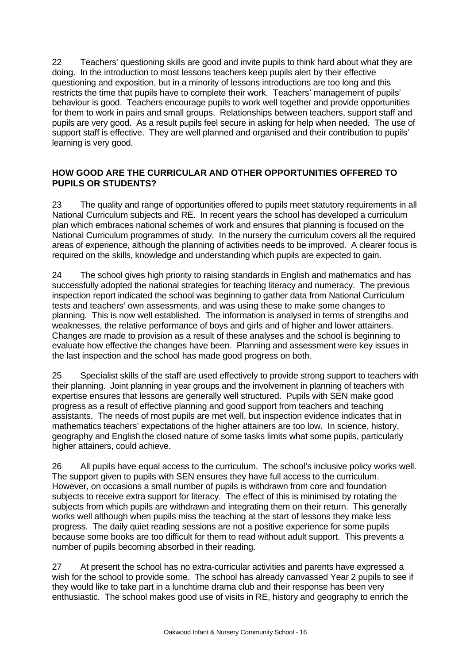22 Teachers' questioning skills are good and invite pupils to think hard about what they are doing. In the introduction to most lessons teachers keep pupils alert by their effective questioning and exposition, but in a minority of lessons introductions are too long and this restricts the time that pupils have to complete their work. Teachers' management of pupils' behaviour is good. Teachers encourage pupils to work well together and provide opportunities for them to work in pairs and small groups. Relationships between teachers, support staff and pupils are very good. As a result pupils feel secure in asking for help when needed. The use of support staff is effective. They are well planned and organised and their contribution to pupils' learning is very good.

### **HOW GOOD ARE THE CURRICULAR AND OTHER OPPORTUNITIES OFFERED TO PUPILS OR STUDENTS?**

23 The quality and range of opportunities offered to pupils meet statutory requirements in all National Curriculum subjects and RE. In recent years the school has developed a curriculum plan which embraces national schemes of work and ensures that planning is focused on the National Curriculum programmes of study. In the nursery the curriculum covers all the required areas of experience, although the planning of activities needs to be improved. A clearer focus is required on the skills, knowledge and understanding which pupils are expected to gain.

24 The school gives high priority to raising standards in English and mathematics and has successfully adopted the national strategies for teaching literacy and numeracy. The previous inspection report indicated the school was beginning to gather data from National Curriculum tests and teachers' own assessments, and was using these to make some changes to planning. This is now well established. The information is analysed in terms of strengths and weaknesses, the relative performance of boys and girls and of higher and lower attainers. Changes are made to provision as a result of these analyses and the school is beginning to evaluate how effective the changes have been. Planning and assessment were key issues in the last inspection and the school has made good progress on both.

25 Specialist skills of the staff are used effectively to provide strong support to teachers with their planning. Joint planning in year groups and the involvement in planning of teachers with expertise ensures that lessons are generally well structured. Pupils with SEN make good progress as a result of effective planning and good support from teachers and teaching assistants. The needs of most pupils are met well, but inspection evidence indicates that in mathematics teachers' expectations of the higher attainers are too low. In science, history, geography and English the closed nature of some tasks limits what some pupils, particularly higher attainers, could achieve.

26 All pupils have equal access to the curriculum. The school's inclusive policy works well. The support given to pupils with SEN ensures they have full access to the curriculum. However, on occasions a small number of pupils is withdrawn from core and foundation subjects to receive extra support for literacy. The effect of this is minimised by rotating the subjects from which pupils are withdrawn and integrating them on their return. This generally works well although when pupils miss the teaching at the start of lessons they make less progress. The daily quiet reading sessions are not a positive experience for some pupils because some books are too difficult for them to read without adult support. This prevents a number of pupils becoming absorbed in their reading.

27 At present the school has no extra-curricular activities and parents have expressed a wish for the school to provide some. The school has already canvassed Year 2 pupils to see if they would like to take part in a lunchtime drama club and their response has been very enthusiastic. The school makes good use of visits in RE, history and geography to enrich the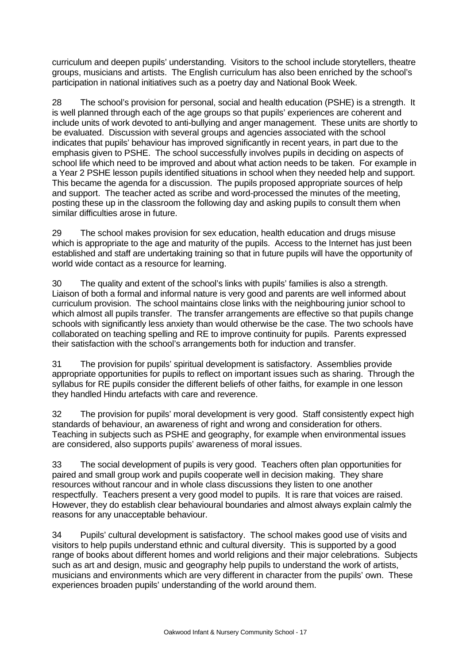curriculum and deepen pupils' understanding. Visitors to the school include storytellers, theatre groups, musicians and artists. The English curriculum has also been enriched by the school's participation in national initiatives such as a poetry day and National Book Week.

28 The school's provision for personal, social and health education (PSHE) is a strength. It is well planned through each of the age groups so that pupils' experiences are coherent and include units of work devoted to anti-bullying and anger management. These units are shortly to be evaluated. Discussion with several groups and agencies associated with the school indicates that pupils' behaviour has improved significantly in recent years, in part due to the emphasis given to PSHE. The school successfully involves pupils in deciding on aspects of school life which need to be improved and about what action needs to be taken. For example in a Year 2 PSHE lesson pupils identified situations in school when they needed help and support. This became the agenda for a discussion. The pupils proposed appropriate sources of help and support. The teacher acted as scribe and word-processed the minutes of the meeting, posting these up in the classroom the following day and asking pupils to consult them when similar difficulties arose in future.

29 The school makes provision for sex education, health education and drugs misuse which is appropriate to the age and maturity of the pupils. Access to the Internet has just been established and staff are undertaking training so that in future pupils will have the opportunity of world wide contact as a resource for learning.

30 The quality and extent of the school's links with pupils' families is also a strength. Liaison of both a formal and informal nature is very good and parents are well informed about curriculum provision. The school maintains close links with the neighbouring junior school to which almost all pupils transfer. The transfer arrangements are effective so that pupils change schools with significantly less anxiety than would otherwise be the case. The two schools have collaborated on teaching spelling and RE to improve continuity for pupils. Parents expressed their satisfaction with the school's arrangements both for induction and transfer.

31 The provision for pupils' spiritual development is satisfactory. Assemblies provide appropriate opportunities for pupils to reflect on important issues such as sharing. Through the syllabus for RE pupils consider the different beliefs of other faiths, for example in one lesson they handled Hindu artefacts with care and reverence.

32 The provision for pupils' moral development is very good. Staff consistently expect high standards of behaviour, an awareness of right and wrong and consideration for others. Teaching in subjects such as PSHE and geography, for example when environmental issues are considered, also supports pupils' awareness of moral issues.

33 The social development of pupils is very good. Teachers often plan opportunities for paired and small group work and pupils cooperate well in decision making. They share resources without rancour and in whole class discussions they listen to one another respectfully. Teachers present a very good model to pupils. It is rare that voices are raised. However, they do establish clear behavioural boundaries and almost always explain calmly the reasons for any unacceptable behaviour.

34 Pupils' cultural development is satisfactory. The school makes good use of visits and visitors to help pupils understand ethnic and cultural diversity. This is supported by a good range of books about different homes and world religions and their major celebrations. Subjects such as art and design, music and geography help pupils to understand the work of artists, musicians and environments which are very different in character from the pupils' own. These experiences broaden pupils' understanding of the world around them.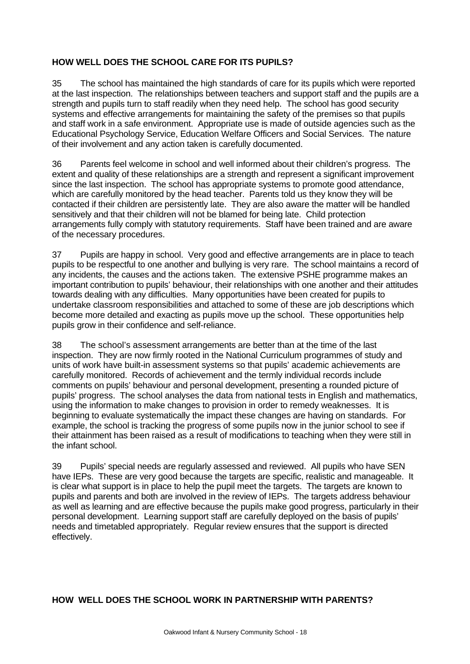### **HOW WELL DOES THE SCHOOL CARE FOR ITS PUPILS?**

35 The school has maintained the high standards of care for its pupils which were reported at the last inspection. The relationships between teachers and support staff and the pupils are a strength and pupils turn to staff readily when they need help. The school has good security systems and effective arrangements for maintaining the safety of the premises so that pupils and staff work in a safe environment. Appropriate use is made of outside agencies such as the Educational Psychology Service, Education Welfare Officers and Social Services. The nature of their involvement and any action taken is carefully documented.

36 Parents feel welcome in school and well informed about their children's progress. The extent and quality of these relationships are a strength and represent a significant improvement since the last inspection. The school has appropriate systems to promote good attendance, which are carefully monitored by the head teacher. Parents told us they know they will be contacted if their children are persistently late. They are also aware the matter will be handled sensitively and that their children will not be blamed for being late. Child protection arrangements fully comply with statutory requirements. Staff have been trained and are aware of the necessary procedures.

37 Pupils are happy in school. Very good and effective arrangements are in place to teach pupils to be respectful to one another and bullying is very rare. The school maintains a record of any incidents, the causes and the actions taken. The extensive PSHE programme makes an important contribution to pupils' behaviour, their relationships with one another and their attitudes towards dealing with any difficulties. Many opportunities have been created for pupils to undertake classroom responsibilities and attached to some of these are job descriptions which become more detailed and exacting as pupils move up the school. These opportunities help pupils grow in their confidence and self-reliance.

38 The school's assessment arrangements are better than at the time of the last inspection. They are now firmly rooted in the National Curriculum programmes of study and units of work have built-in assessment systems so that pupils' academic achievements are carefully monitored. Records of achievement and the termly individual records include comments on pupils' behaviour and personal development, presenting a rounded picture of pupils' progress. The school analyses the data from national tests in English and mathematics, using the information to make changes to provision in order to remedy weaknesses. It is beginning to evaluate systematically the impact these changes are having on standards. For example, the school is tracking the progress of some pupils now in the junior school to see if their attainment has been raised as a result of modifications to teaching when they were still in the infant school.

39 Pupils' special needs are regularly assessed and reviewed. All pupils who have SEN have IEPs. These are very good because the targets are specific, realistic and manageable. It is clear what support is in place to help the pupil meet the targets. The targets are known to pupils and parents and both are involved in the review of IEPs. The targets address behaviour as well as learning and are effective because the pupils make good progress, particularly in their personal development. Learning support staff are carefully deployed on the basis of pupils' needs and timetabled appropriately. Regular review ensures that the support is directed effectively.

### **HOW WELL DOES THE SCHOOL WORK IN PARTNERSHIP WITH PARENTS?**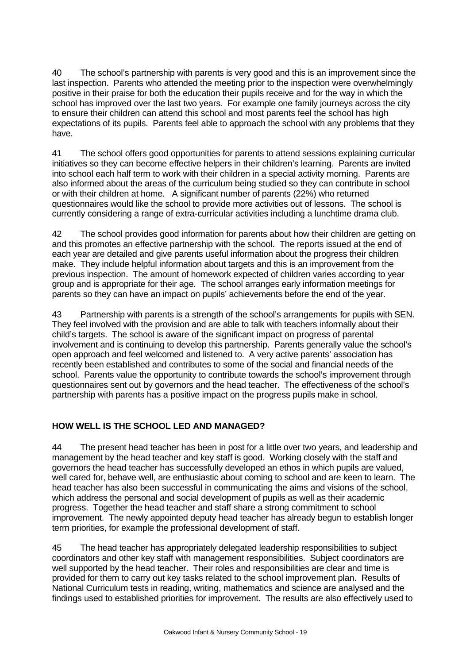40 The school's partnership with parents is very good and this is an improvement since the last inspection. Parents who attended the meeting prior to the inspection were overwhelmingly positive in their praise for both the education their pupils receive and for the way in which the school has improved over the last two years. For example one family journeys across the city to ensure their children can attend this school and most parents feel the school has high expectations of its pupils. Parents feel able to approach the school with any problems that they have.

41 The school offers good opportunities for parents to attend sessions explaining curricular initiatives so they can become effective helpers in their children's learning. Parents are invited into school each half term to work with their children in a special activity morning. Parents are also informed about the areas of the curriculum being studied so they can contribute in school or with their children at home. A significant number of parents (22%) who returned questionnaires would like the school to provide more activities out of lessons. The school is currently considering a range of extra-curricular activities including a lunchtime drama club.

42 The school provides good information for parents about how their children are getting on and this promotes an effective partnership with the school. The reports issued at the end of each year are detailed and give parents useful information about the progress their children make. They include helpful information about targets and this is an improvement from the previous inspection. The amount of homework expected of children varies according to year group and is appropriate for their age. The school arranges early information meetings for parents so they can have an impact on pupils' achievements before the end of the year.

43 Partnership with parents is a strength of the school's arrangements for pupils with SEN. They feel involved with the provision and are able to talk with teachers informally about their child's targets. The school is aware of the significant impact on progress of parental involvement and is continuing to develop this partnership. Parents generally value the school's open approach and feel welcomed and listened to. A very active parents' association has recently been established and contributes to some of the social and financial needs of the school. Parents value the opportunity to contribute towards the school's improvement through questionnaires sent out by governors and the head teacher. The effectiveness of the school's partnership with parents has a positive impact on the progress pupils make in school.

### **HOW WELL IS THE SCHOOL LED AND MANAGED?**

44 The present head teacher has been in post for a little over two years, and leadership and management by the head teacher and key staff is good. Working closely with the staff and governors the head teacher has successfully developed an ethos in which pupils are valued, well cared for, behave well, are enthusiastic about coming to school and are keen to learn. The head teacher has also been successful in communicating the aims and visions of the school, which address the personal and social development of pupils as well as their academic progress. Together the head teacher and staff share a strong commitment to school improvement. The newly appointed deputy head teacher has already begun to establish longer term priorities, for example the professional development of staff.

45 The head teacher has appropriately delegated leadership responsibilities to subject coordinators and other key staff with management responsibilities. Subject coordinators are well supported by the head teacher. Their roles and responsibilities are clear and time is provided for them to carry out key tasks related to the school improvement plan. Results of National Curriculum tests in reading, writing, mathematics and science are analysed and the findings used to established priorities for improvement. The results are also effectively used to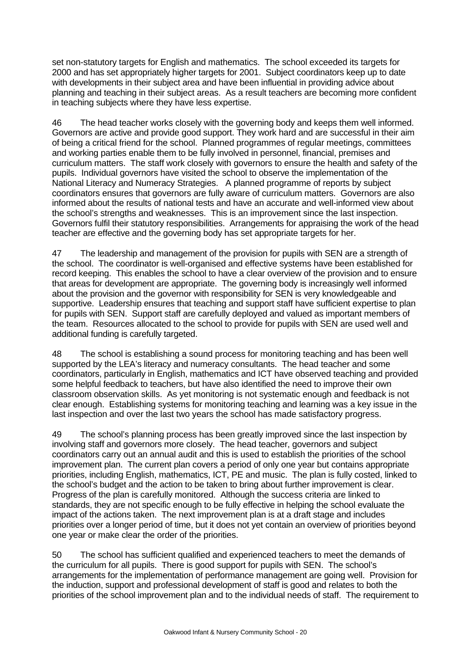set non-statutory targets for English and mathematics. The school exceeded its targets for 2000 and has set appropriately higher targets for 2001. Subject coordinators keep up to date with developments in their subject area and have been influential in providing advice about planning and teaching in their subject areas. As a result teachers are becoming more confident in teaching subjects where they have less expertise.

46 The head teacher works closely with the governing body and keeps them well informed. Governors are active and provide good support. They work hard and are successful in their aim of being a critical friend for the school. Planned programmes of regular meetings, committees and working parties enable them to be fully involved in personnel, financial, premises and curriculum matters. The staff work closely with governors to ensure the health and safety of the pupils. Individual governors have visited the school to observe the implementation of the National Literacy and Numeracy Strategies. A planned programme of reports by subject coordinators ensures that governors are fully aware of curriculum matters. Governors are also informed about the results of national tests and have an accurate and well-informed view about the school's strengths and weaknesses. This is an improvement since the last inspection. Governors fulfil their statutory responsibilities. Arrangements for appraising the work of the head teacher are effective and the governing body has set appropriate targets for her.

47 The leadership and management of the provision for pupils with SEN are a strength of the school. The coordinator is well-organised and effective systems have been established for record keeping. This enables the school to have a clear overview of the provision and to ensure that areas for development are appropriate. The governing body is increasingly well informed about the provision and the governor with responsibility for SEN is very knowledgeable and supportive. Leadership ensures that teaching and support staff have sufficient expertise to plan for pupils with SEN. Support staff are carefully deployed and valued as important members of the team. Resources allocated to the school to provide for pupils with SEN are used well and additional funding is carefully targeted.

48 The school is establishing a sound process for monitoring teaching and has been well supported by the LEA's literacy and numeracy consultants. The head teacher and some coordinators, particularly in English, mathematics and ICT have observed teaching and provided some helpful feedback to teachers, but have also identified the need to improve their own classroom observation skills. As yet monitoring is not systematic enough and feedback is not clear enough. Establishing systems for monitoring teaching and learning was a key issue in the last inspection and over the last two years the school has made satisfactory progress.

49 The school's planning process has been greatly improved since the last inspection by involving staff and governors more closely. The head teacher, governors and subject coordinators carry out an annual audit and this is used to establish the priorities of the school improvement plan. The current plan covers a period of only one year but contains appropriate priorities, including English, mathematics, ICT, PE and music. The plan is fully costed, linked to the school's budget and the action to be taken to bring about further improvement is clear. Progress of the plan is carefully monitored. Although the success criteria are linked to standards, they are not specific enough to be fully effective in helping the school evaluate the impact of the actions taken. The next improvement plan is at a draft stage and includes priorities over a longer period of time, but it does not yet contain an overview of priorities beyond one year or make clear the order of the priorities.

50 The school has sufficient qualified and experienced teachers to meet the demands of the curriculum for all pupils. There is good support for pupils with SEN. The school's arrangements for the implementation of performance management are going well. Provision for the induction, support and professional development of staff is good and relates to both the priorities of the school improvement plan and to the individual needs of staff. The requirement to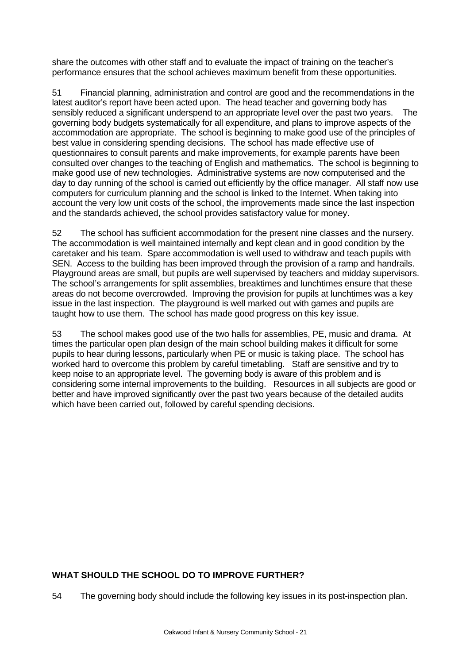share the outcomes with other staff and to evaluate the impact of training on the teacher's performance ensures that the school achieves maximum benefit from these opportunities.

51 Financial planning, administration and control are good and the recommendations in the latest auditor's report have been acted upon. The head teacher and governing body has sensibly reduced a significant underspend to an appropriate level over the past two years. The governing body budgets systematically for all expenditure, and plans to improve aspects of the accommodation are appropriate. The school is beginning to make good use of the principles of best value in considering spending decisions. The school has made effective use of questionnaires to consult parents and make improvements, for example parents have been consulted over changes to the teaching of English and mathematics. The school is beginning to make good use of new technologies. Administrative systems are now computerised and the day to day running of the school is carried out efficiently by the office manager. All staff now use computers for curriculum planning and the school is linked to the Internet. When taking into account the very low unit costs of the school, the improvements made since the last inspection and the standards achieved, the school provides satisfactory value for money.

52 The school has sufficient accommodation for the present nine classes and the nursery. The accommodation is well maintained internally and kept clean and in good condition by the caretaker and his team. Spare accommodation is well used to withdraw and teach pupils with SEN. Access to the building has been improved through the provision of a ramp and handrails. Playground areas are small, but pupils are well supervised by teachers and midday supervisors. The school's arrangements for split assemblies, breaktimes and lunchtimes ensure that these areas do not become overcrowded. Improving the provision for pupils at lunchtimes was a key issue in the last inspection. The playground is well marked out with games and pupils are taught how to use them. The school has made good progress on this key issue.

53 The school makes good use of the two halls for assemblies, PE, music and drama. At times the particular open plan design of the main school building makes it difficult for some pupils to hear during lessons, particularly when PE or music is taking place. The school has worked hard to overcome this problem by careful timetabling. Staff are sensitive and try to keep noise to an appropriate level. The governing body is aware of this problem and is considering some internal improvements to the building. Resources in all subjects are good or better and have improved significantly over the past two years because of the detailed audits which have been carried out, followed by careful spending decisions.

### **WHAT SHOULD THE SCHOOL DO TO IMPROVE FURTHER?**

54 The governing body should include the following key issues in its post-inspection plan.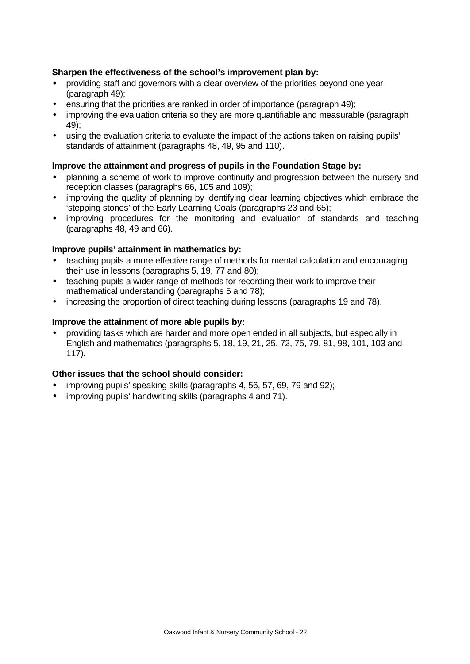### **Sharpen the effectiveness of the school's improvement plan by:**

- providing staff and governors with a clear overview of the priorities beyond one year (paragraph 49);
- ensuring that the priorities are ranked in order of importance (paragraph 49);
- improving the evaluation criteria so they are more quantifiable and measurable (paragraph 49);
- using the evaluation criteria to evaluate the impact of the actions taken on raising pupils' standards of attainment (paragraphs 48, 49, 95 and 110).

### **Improve the attainment and progress of pupils in the Foundation Stage by:**

- planning a scheme of work to improve continuity and progression between the nursery and reception classes (paragraphs 66, 105 and 109);
- improving the quality of planning by identifying clear learning objectives which embrace the 'stepping stones' of the Early Learning Goals (paragraphs 23 and 65);
- improving procedures for the monitoring and evaluation of standards and teaching (paragraphs 48, 49 and 66).

### **Improve pupils' attainment in mathematics by:**

- teaching pupils a more effective range of methods for mental calculation and encouraging their use in lessons (paragraphs 5, 19, 77 and 80);
- teaching pupils a wider range of methods for recording their work to improve their mathematical understanding (paragraphs 5 and 78);
- increasing the proportion of direct teaching during lessons (paragraphs 19 and 78).

### **Improve the attainment of more able pupils by:**

• providing tasks which are harder and more open ended in all subjects, but especially in English and mathematics (paragraphs 5, 18, 19, 21, 25, 72, 75, 79, 81, 98, 101, 103 and 117).

### **Other issues that the school should consider:**

- improving pupils' speaking skills (paragraphs 4, 56, 57, 69, 79 and 92);
- improving pupils' handwriting skills (paragraphs 4 and 71).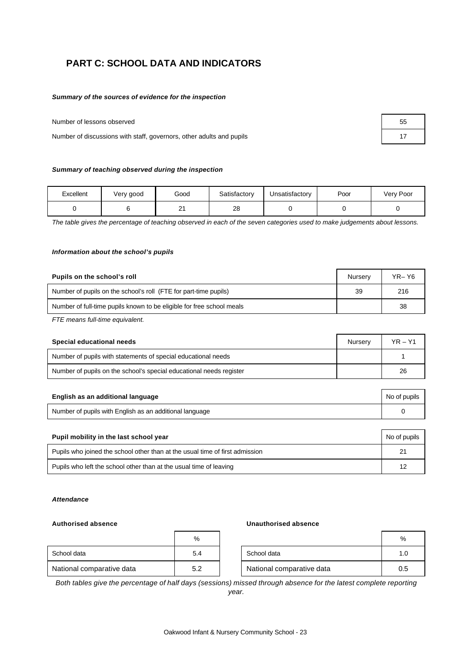# **PART C: SCHOOL DATA AND INDICATORS**

#### *Summary of the sources of evidence for the inspection*

Number of lessons observed **55** 

Number of discussions with staff, governors, other adults and pupils 17 and 17 and 17 and 17 and 17 and 17 and 17 and 17 and 17 and 17 and 17 and 17 and 17 and 17 and 17 and 17 and 17 and 17 and 17 and 17 and 17 and 17 and

#### *Summary of teaching observed during the inspection*

| Excellent | √ery good | Good         | Satisfactorv | Unsatisfactory | Poor | Very Poor |
|-----------|-----------|--------------|--------------|----------------|------|-----------|
|           |           | $\sim$<br>∠∣ | 28           |                |      |           |

*The table gives the percentage of teaching observed in each of the seven categories used to make judgements about lessons.*

#### *Information about the school's pupils*

| Pupils on the school's roll                                           | Nurserv | YR– Y6 |
|-----------------------------------------------------------------------|---------|--------|
| Number of pupils on the school's roll (FTE for part-time pupils)      | 39      | 216    |
| Number of full-time pupils known to be eligible for free school meals |         | 38     |

*FTE means full-time equivalent.*

| Special educational needs                                           | Nurserv | $YR - Y1$ |
|---------------------------------------------------------------------|---------|-----------|
| Number of pupils with statements of special educational needs       |         |           |
| Number of pupils on the school's special educational needs register |         | 26        |

| English as an additional language                                            | No of pupils |
|------------------------------------------------------------------------------|--------------|
| Number of pupils with English as an additional language                      | 0            |
|                                                                              |              |
|                                                                              |              |
| Pupil mobility in the last school year                                       | No of pupils |
| Pupils who joined the school other than at the usual time of first admission | 21           |

#### *Attendance*

#### **Authorised absence Unauthorised absence**

|                           | %   |                           | %   |
|---------------------------|-----|---------------------------|-----|
| School data               | 5.4 | School data               | 1.0 |
| National comparative data | 5.2 | National comparative data | 0.5 |

*Both tables give the percentage of half days (sessions) missed through absence for the latest complete reporting year.*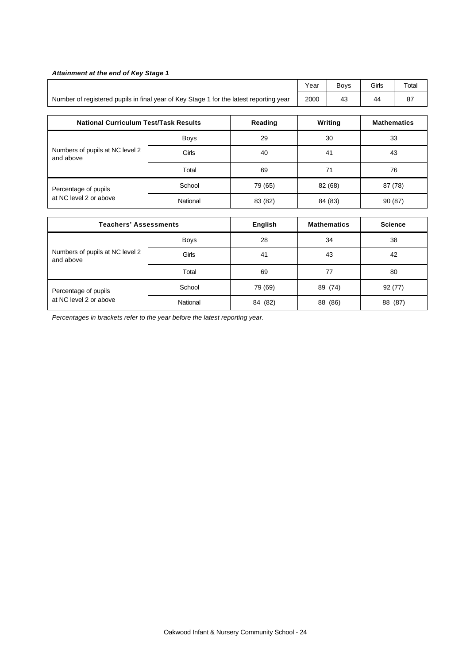### *Attainment at the end of Key Stage 1*

|                                                                                        | Year | Bovs | Girls | $\tau$ otal |
|----------------------------------------------------------------------------------------|------|------|-------|-------------|
| Number of registered pupils in final year of Key Stage 1 for the latest reporting year | 2000 |      |       |             |

| <b>National Curriculum Test/Task Results</b> |             | Reading | Writing | <b>Mathematics</b> |
|----------------------------------------------|-------------|---------|---------|--------------------|
| Numbers of pupils at NC level 2<br>and above | <b>Boys</b> | 29      | 30      | 33                 |
|                                              | Girls       | 40      | 41      | 43                 |
|                                              | Total       | 69      | 71      | 76                 |
| Percentage of pupils                         | School      | 79 (65) | 82 (68) | 87 (78)            |
| at NC level 2 or above                       | National    | 83 (82) | 84 (83) | 90(87)             |

| <b>Teachers' Assessments</b>                 |             | English | <b>Mathematics</b> | <b>Science</b> |
|----------------------------------------------|-------------|---------|--------------------|----------------|
|                                              | <b>Boys</b> | 28      | 34                 | 38             |
| Numbers of pupils at NC level 2<br>and above | Girls       | 41      | 43                 | 42             |
|                                              | Total       | 69      | 77                 | 80             |
| Percentage of pupils                         | School      | 79 (69) | 89 (74)            | 92 (77)        |
| at NC level 2 or above                       | National    | 84 (82) | (86)<br>88         | 88 (87)        |

*Percentages in brackets refer to the year before the latest reporting year.*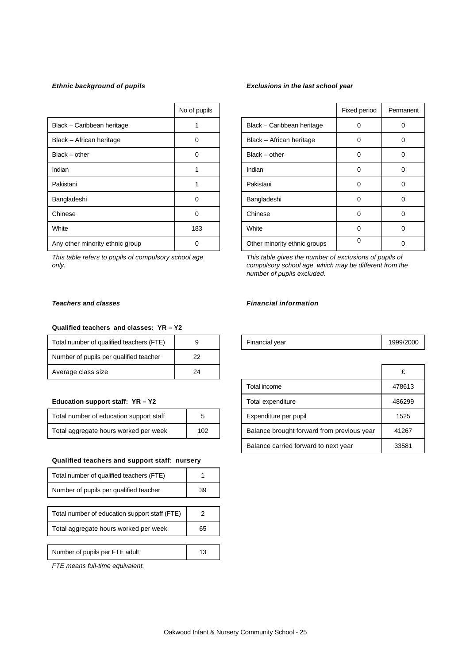|                                 | No of pupils |                              | Fixed period | Perma |
|---------------------------------|--------------|------------------------------|--------------|-------|
| Black - Caribbean heritage      |              | Black - Caribbean heritage   | 0            | 0     |
| Black - African heritage        | $\Omega$     | Black - African heritage     | 0            | 0     |
| $Black - other$                 | 0            | $Black - other$              | 0            | 0     |
| Indian                          |              | Indian                       | 0            | 0     |
| Pakistani                       |              | Pakistani                    | 0            | 0     |
| Bangladeshi                     | $\Omega$     | Bangladeshi                  | 0            | 0     |
| Chinese                         | $\Omega$     | Chinese                      | 0            | 0     |
| White                           | 183          | White                        | 0            | 0     |
| Any other minority ethnic group |              | Other minority ethnic groups | 0            | 0     |

*This table refers to pupils of compulsory school age only.*

#### *Ethnic background of pupils Exclusions in the last school year*

| No of pupils |                              | Fixed period | Permanent |
|--------------|------------------------------|--------------|-----------|
|              | Black - Caribbean heritage   | Ω            |           |
|              | Black - African heritage     | 0            | Ω         |
| ი            | $Black - other$              | 0            | O         |
|              | Indian                       | 0            | 0         |
|              | Pakistani                    | 0            | O         |
| 0            | Bangladeshi                  | 0            | 0         |
| ი            | Chinese                      | 0            | 0         |
| 183          | White                        | 0            | Ω         |
| 0            | Other minority ethnic groups | $\Omega$     |           |

*This table gives the number of exclusions of pupils of compulsory school age, which may be different from the number of pupils excluded.*

#### **Qualified teachers and classes: YR – Y2**

| Total number of qualified teachers (FTE) |    | Financial year | 1999/ |
|------------------------------------------|----|----------------|-------|
| Number of pupils per qualified teacher   | 22 |                |       |
| Average class size                       | 24 |                | £     |

### **Education support staff: YR - Y2**

| Total number of education support staff | 5   |
|-----------------------------------------|-----|
| Total aggregate hours worked per week   | 102 |

#### **Qualified teachers and support staff: nursery**

| Total number of qualified teachers (FTE) |    |
|------------------------------------------|----|
| Number of pupils per qualified teacher   | 39 |

| Total number of education support staff (FTE) |    |
|-----------------------------------------------|----|
| Total aggregate hours worked per week         | 65 |
|                                               |    |

Number of pupils per FTE adult 13

*FTE means full-time equivalent.*

#### *Teachers and classes Financial information*

| Total number of qualified teachers (FTE) |  | <b>Financial vear</b> | 999/2000 |
|------------------------------------------|--|-----------------------|----------|
|------------------------------------------|--|-----------------------|----------|

| Average class size                      | 24  |                                            | £      |
|-----------------------------------------|-----|--------------------------------------------|--------|
|                                         |     | Total income                               | 478613 |
| Education support staff: YR - Y2        |     | Total expenditure                          | 486299 |
| Total number of education support staff | 5   | Expenditure per pupil                      | 1525   |
| Total aggregate hours worked per week   | 102 | Balance brought forward from previous year | 41267  |
|                                         |     | Balance carried forward to next year       | 33581  |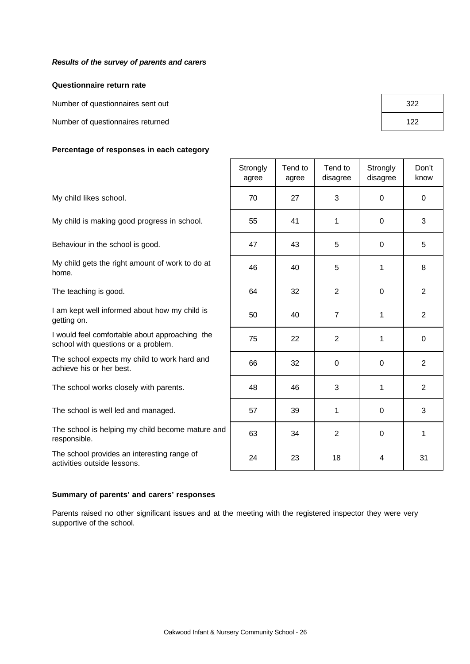### **Questionnaire return rate**

Number of questionnaires sent out

Number of questionnaires returned

### **Percentage of responses in each category**

### **Summary of parents' and carers' responses**

Parents raised no other significant issues and at the meeting with the registered inspector they were very supportive of the school.

| 322 |  |
|-----|--|
| 122 |  |

|                                                                                       | Strongly<br>agree | Tend to<br>agree | Tend to<br>disagree | Strongly<br>disagree | Don't<br>know  |
|---------------------------------------------------------------------------------------|-------------------|------------------|---------------------|----------------------|----------------|
| My child likes school.                                                                | 70                | 27               | 3                   | $\mathbf 0$          | $\mathbf 0$    |
| My child is making good progress in school.                                           | 55                | 41               | 1                   | 0                    | 3              |
| Behaviour in the school is good.                                                      | 47                | 43               | 5                   | $\mathbf 0$          | 5              |
| My child gets the right amount of work to do at<br>home.                              | 46                | 40               | 5                   | 1                    | 8              |
| The teaching is good.                                                                 | 64                | 32               | $\overline{2}$      | $\mathbf 0$          | $\overline{2}$ |
| I am kept well informed about how my child is<br>getting on.                          | 50                | 40               | $\overline{7}$      | 1                    | $\overline{2}$ |
| I would feel comfortable about approaching the<br>school with questions or a problem. | 75                | 22               | $\overline{2}$      | $\mathbf{1}$         | $\mathbf 0$    |
| The school expects my child to work hard and<br>achieve his or her best.              | 66                | 32               | 0                   | $\mathbf 0$          | 2              |
| The school works closely with parents.                                                | 48                | 46               | 3                   | 1                    | $\overline{2}$ |
| The school is well led and managed.                                                   | 57                | 39               | 1                   | $\mathbf 0$          | 3              |
| The school is helping my child become mature and<br>responsible.                      | 63                | 34               | $\overline{2}$      | $\mathbf 0$          | 1              |
| The school provides an interesting range of<br>activities outside lessons.            | 24                | 23               | 18                  | 4                    | 31             |
|                                                                                       |                   |                  |                     |                      |                |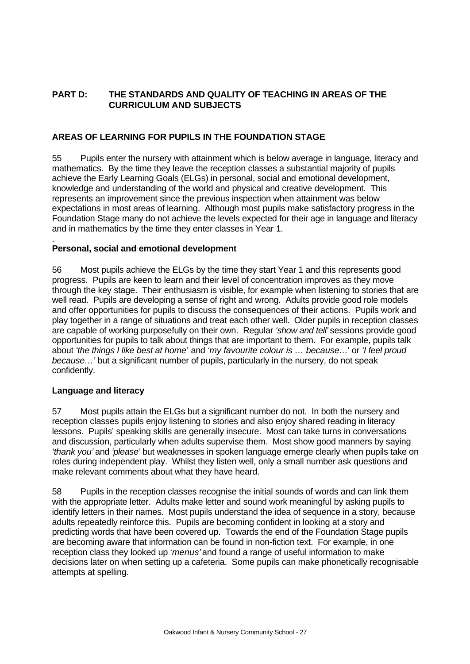### **PART D: THE STANDARDS AND QUALITY OF TEACHING IN AREAS OF THE CURRICULUM AND SUBJECTS**

### **AREAS OF LEARNING FOR PUPILS IN THE FOUNDATION STAGE**

55 Pupils enter the nursery with attainment which is below average in language, literacy and mathematics. By the time they leave the reception classes a substantial majority of pupils achieve the Early Learning Goals (ELGs) in personal, social and emotional development, knowledge and understanding of the world and physical and creative development. This represents an improvement since the previous inspection when attainment was below expectations in most areas of learning. Although most pupils make satisfactory progress in the Foundation Stage many do not achieve the levels expected for their age in language and literacy and in mathematics by the time they enter classes in Year 1.

### **Personal, social and emotional development**

56 Most pupils achieve the ELGs by the time they start Year 1 and this represents good progress. Pupils are keen to learn and their level of concentration improves as they move through the key stage. Their enthusiasm is visible, for example when listening to stories that are well read. Pupils are developing a sense of right and wrong. Adults provide good role models and offer opportunities for pupils to discuss the consequences of their actions. Pupils work and play together in a range of situations and treat each other well. Older pupils in reception classes are capable of working purposefully on their own. Regular *'show and tell'* sessions provide good opportunities for pupils to talk about things that are important to them. For example, pupils talk about *'the things I like best at home'* and *'my favourite colour is … because*…' or *'I feel proud because…'* but a significant number of pupils, particularly in the nursery, do not speak confidently.

### **Language and literacy**

.

57 Most pupils attain the ELGs but a significant number do not. In both the nursery and reception classes pupils enjoy listening to stories and also enjoy shared reading in literacy lessons. Pupils' speaking skills are generally insecure. Most can take turns in conversations and discussion, particularly when adults supervise them. Most show good manners by saying *'thank you'* and *'please'* but weaknesses in spoken language emerge clearly when pupils take on roles during independent play. Whilst they listen well, only a small number ask questions and make relevant comments about what they have heard.

58 Pupils in the reception classes recognise the initial sounds of words and can link them with the appropriate letter. Adults make letter and sound work meaningful by asking pupils to identify letters in their names. Most pupils understand the idea of sequence in a story, because adults repeatedly reinforce this. Pupils are becoming confident in looking at a story and predicting words that have been covered up. Towards the end of the Foundation Stage pupils are becoming aware that information can be found in non-fiction text. For example, in one reception class they looked up '*menus'* and found a range of useful information to make decisions later on when setting up a cafeteria. Some pupils can make phonetically recognisable attempts at spelling.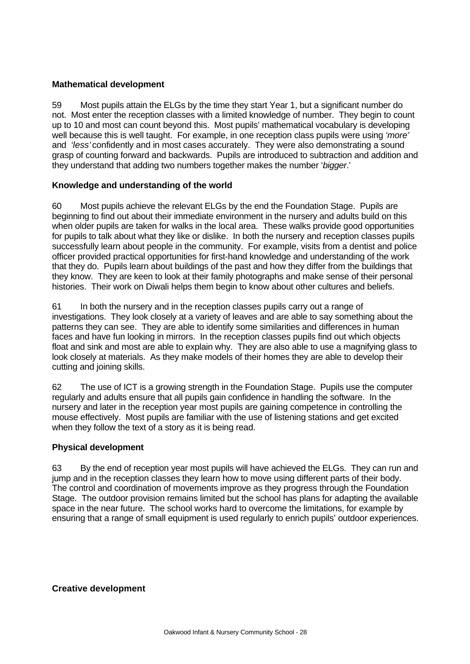### **Mathematical development**

59 Most pupils attain the ELGs by the time they start Year 1, but a significant number do not. Most enter the reception classes with a limited knowledge of number. They begin to count up to 10 and most can count beyond this. Most pupils' mathematical vocabulary is developing well because this is well taught. For example, in one reception class pupils were using *'more'* and *'less'* confidently and in most cases accurately. They were also demonstrating a sound grasp of counting forward and backwards. Pupils are introduced to subtraction and addition and they understand that adding two numbers together makes the number '*bigger*.'

### **Knowledge and understanding of the world**

60 Most pupils achieve the relevant ELGs by the end the Foundation Stage. Pupils are beginning to find out about their immediate environment in the nursery and adults build on this when older pupils are taken for walks in the local area. These walks provide good opportunities for pupils to talk about what they like or dislike. In both the nursery and reception classes pupils successfully learn about people in the community. For example, visits from a dentist and police officer provided practical opportunities for first-hand knowledge and understanding of the work that they do. Pupils learn about buildings of the past and how they differ from the buildings that they know. They are keen to look at their family photographs and make sense of their personal histories. Their work on Diwali helps them begin to know about other cultures and beliefs.

61 In both the nursery and in the reception classes pupils carry out a range of investigations. They look closely at a variety of leaves and are able to say something about the patterns they can see. They are able to identify some similarities and differences in human faces and have fun looking in mirrors. In the reception classes pupils find out which objects float and sink and most are able to explain why. They are also able to use a magnifying glass to look closely at materials. As they make models of their homes they are able to develop their cutting and joining skills.

62 The use of ICT is a growing strength in the Foundation Stage. Pupils use the computer regularly and adults ensure that all pupils gain confidence in handling the software. In the nursery and later in the reception year most pupils are gaining competence in controlling the mouse effectively. Most pupils are familiar with the use of listening stations and get excited when they follow the text of a story as it is being read.

### **Physical development**

63 By the end of reception year most pupils will have achieved the ELGs. They can run and jump and in the reception classes they learn how to move using different parts of their body. The control and coordination of movements improve as they progress through the Foundation Stage. The outdoor provision remains limited but the school has plans for adapting the available space in the near future. The school works hard to overcome the limitations, for example by ensuring that a range of small equipment is used regularly to enrich pupils' outdoor experiences.

### **Creative development**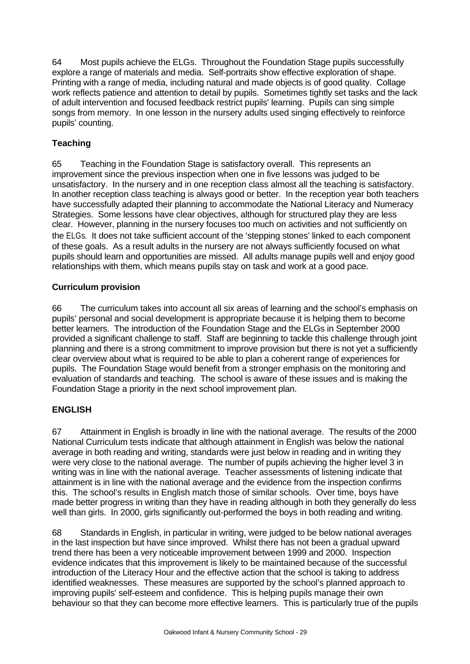64 Most pupils achieve the ELGs. Throughout the Foundation Stage pupils successfully explore a range of materials and media. Self-portraits show effective exploration of shape. Printing with a range of media, including natural and made objects is of good quality. Collage work reflects patience and attention to detail by pupils. Sometimes tightly set tasks and the lack of adult intervention and focused feedback restrict pupils' learning. Pupils can sing simple songs from memory. In one lesson in the nursery adults used singing effectively to reinforce pupils' counting.

### **Teaching**

65 Teaching in the Foundation Stage is satisfactory overall. This represents an improvement since the previous inspection when one in five lessons was judged to be unsatisfactory. In the nursery and in one reception class almost all the teaching is satisfactory. In another reception class teaching is always good or better. In the reception year both teachers have successfully adapted their planning to accommodate the National Literacy and Numeracy Strategies. Some lessons have clear objectives, although for structured play they are less clear. However, planning in the nursery focuses too much on activities and not sufficiently on the ELGs. It does not take sufficient account of the 'stepping stones' linked to each component of these goals. As a result adults in the nursery are not always sufficiently focused on what pupils should learn and opportunities are missed. All adults manage pupils well and enjoy good relationships with them, which means pupils stay on task and work at a good pace.

### **Curriculum provision**

66 The curriculum takes into account all six areas of learning and the school's emphasis on pupils' personal and social development is appropriate because it is helping them to become better learners. The introduction of the Foundation Stage and the ELGs in September 2000 provided a significant challenge to staff. Staff are beginning to tackle this challenge through joint planning and there is a strong commitment to improve provision but there is not yet a sufficiently clear overview about what is required to be able to plan a coherent range of experiences for pupils. The Foundation Stage would benefit from a stronger emphasis on the monitoring and evaluation of standards and teaching. The school is aware of these issues and is making the Foundation Stage a priority in the next school improvement plan.

### **ENGLISH**

67 Attainment in English is broadly in line with the national average. The results of the 2000 National Curriculum tests indicate that although attainment in English was below the national average in both reading and writing, standards were just below in reading and in writing they were very close to the national average. The number of pupils achieving the higher level 3 in writing was in line with the national average. Teacher assessments of listening indicate that attainment is in line with the national average and the evidence from the inspection confirms this. The school's results in English match those of similar schools. Over time, boys have made better progress in writing than they have in reading although in both they generally do less well than girls. In 2000, girls significantly out-performed the boys in both reading and writing.

68 Standards in English, in particular in writing, were judged to be below national averages in the last inspection but have since improved. Whilst there has not been a gradual upward trend there has been a very noticeable improvement between 1999 and 2000. Inspection evidence indicates that this improvement is likely to be maintained because of the successful introduction of the Literacy Hour and the effective action that the school is taking to address identified weaknesses. These measures are supported by the school's planned approach to improving pupils' self-esteem and confidence. This is helping pupils manage their own behaviour so that they can become more effective learners. This is particularly true of the pupils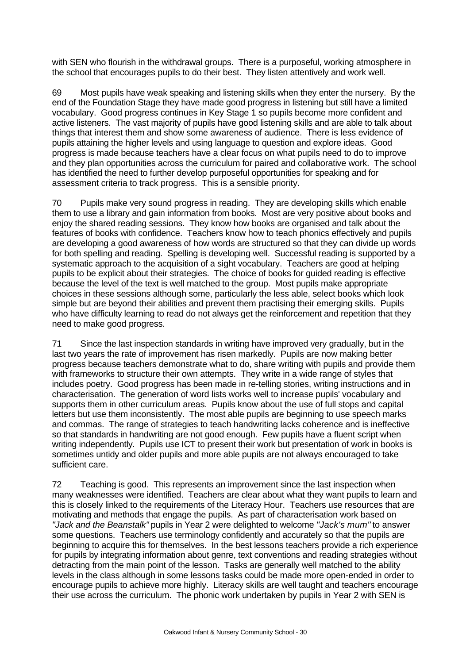with SEN who flourish in the withdrawal groups. There is a purposeful, working atmosphere in the school that encourages pupils to do their best. They listen attentively and work well.

69 Most pupils have weak speaking and listening skills when they enter the nursery. By the end of the Foundation Stage they have made good progress in listening but still have a limited vocabulary. Good progress continues in Key Stage 1 so pupils become more confident and active listeners. The vast majority of pupils have good listening skills and are able to talk about things that interest them and show some awareness of audience. There is less evidence of pupils attaining the higher levels and using language to question and explore ideas. Good progress is made because teachers have a clear focus on what pupils need to do to improve and they plan opportunities across the curriculum for paired and collaborative work. The school has identified the need to further develop purposeful opportunities for speaking and for assessment criteria to track progress. This is a sensible priority.

70 Pupils make very sound progress in reading. They are developing skills which enable them to use a library and gain information from books. Most are very positive about books and enjoy the shared reading sessions. They know how books are organised and talk about the features of books with confidence. Teachers know how to teach phonics effectively and pupils are developing a good awareness of how words are structured so that they can divide up words for both spelling and reading. Spelling is developing well. Successful reading is supported by a systematic approach to the acquisition of a sight vocabulary. Teachers are good at helping pupils to be explicit about their strategies. The choice of books for guided reading is effective because the level of the text is well matched to the group. Most pupils make appropriate choices in these sessions although some, particularly the less able, select books which look simple but are beyond their abilities and prevent them practising their emerging skills. Pupils who have difficulty learning to read do not always get the reinforcement and repetition that they need to make good progress.

71 Since the last inspection standards in writing have improved very gradually, but in the last two years the rate of improvement has risen markedly. Pupils are now making better progress because teachers demonstrate what to do, share writing with pupils and provide them with frameworks to structure their own attempts. They write in a wide range of styles that includes poetry. Good progress has been made in re-telling stories, writing instructions and in characterisation. The generation of word lists works well to increase pupils' vocabulary and supports them in other curriculum areas. Pupils know about the use of full stops and capital letters but use them inconsistently. The most able pupils are beginning to use speech marks and commas. The range of strategies to teach handwriting lacks coherence and is ineffective so that standards in handwriting are not good enough. Few pupils have a fluent script when writing independently. Pupils use ICT to present their work but presentation of work in books is sometimes untidy and older pupils and more able pupils are not always encouraged to take sufficient care.

72 Teaching is good. This represents an improvement since the last inspection when many weaknesses were identified. Teachers are clear about what they want pupils to learn and this is closely linked to the requirements of the Literacy Hour. Teachers use resources that are motivating and methods that engage the pupils. As part of characterisation work based on *"Jack and the Beanstalk"* pupils in Year 2 were delighted to welcome *"Jack's mum"* to answer some questions. Teachers use terminology confidently and accurately so that the pupils are beginning to acquire this for themselves. In the best lessons teachers provide a rich experience for pupils by integrating information about genre, text conventions and reading strategies without detracting from the main point of the lesson. Tasks are generally well matched to the ability levels in the class although in some lessons tasks could be made more open-ended in order to encourage pupils to achieve more highly. Literacy skills are well taught and teachers encourage their use across the curriculum. The phonic work undertaken by pupils in Year 2 with SEN is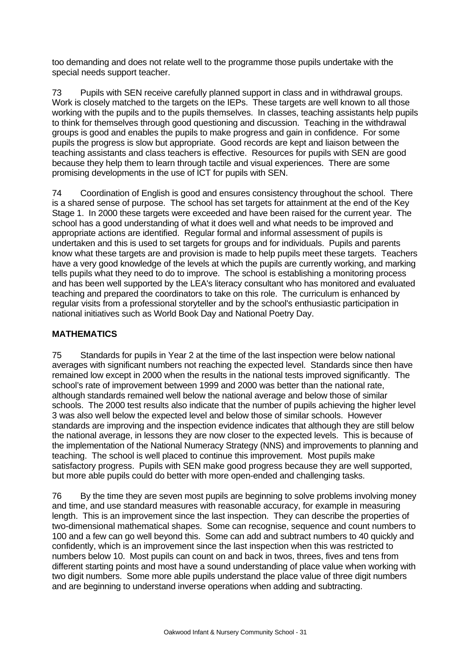too demanding and does not relate well to the programme those pupils undertake with the special needs support teacher.

73 Pupils with SEN receive carefully planned support in class and in withdrawal groups. Work is closely matched to the targets on the IEPs. These targets are well known to all those working with the pupils and to the pupils themselves. In classes, teaching assistants help pupils to think for themselves through good questioning and discussion. Teaching in the withdrawal groups is good and enables the pupils to make progress and gain in confidence. For some pupils the progress is slow but appropriate. Good records are kept and liaison between the teaching assistants and class teachers is effective. Resources for pupils with SEN are good because they help them to learn through tactile and visual experiences. There are some promising developments in the use of ICT for pupils with SEN.

74 Coordination of English is good and ensures consistency throughout the school. There is a shared sense of purpose. The school has set targets for attainment at the end of the Key Stage 1. In 2000 these targets were exceeded and have been raised for the current year. The school has a good understanding of what it does well and what needs to be improved and appropriate actions are identified. Regular formal and informal assessment of pupils is undertaken and this is used to set targets for groups and for individuals. Pupils and parents know what these targets are and provision is made to help pupils meet these targets. Teachers have a very good knowledge of the levels at which the pupils are currently working, and marking tells pupils what they need to do to improve. The school is establishing a monitoring process and has been well supported by the LEA's literacy consultant who has monitored and evaluated teaching and prepared the coordinators to take on this role. The curriculum is enhanced by regular visits from a professional storyteller and by the school's enthusiastic participation in national initiatives such as World Book Day and National Poetry Day.

### **MATHEMATICS**

75 Standards for pupils in Year 2 at the time of the last inspection were below national averages with significant numbers not reaching the expected level. Standards since then have remained low except in 2000 when the results in the national tests improved significantly. The school's rate of improvement between 1999 and 2000 was better than the national rate, although standards remained well below the national average and below those of similar schools. The 2000 test results also indicate that the number of pupils achieving the higher level 3 was also well below the expected level and below those of similar schools. However standards are improving and the inspection evidence indicates that although they are still below the national average, in lessons they are now closer to the expected levels. This is because of the implementation of the National Numeracy Strategy (NNS) and improvements to planning and teaching. The school is well placed to continue this improvement. Most pupils make satisfactory progress. Pupils with SEN make good progress because they are well supported, but more able pupils could do better with more open-ended and challenging tasks.

76 By the time they are seven most pupils are beginning to solve problems involving money and time, and use standard measures with reasonable accuracy, for example in measuring length. This is an improvement since the last inspection. They can describe the properties of two-dimensional mathematical shapes. Some can recognise, sequence and count numbers to 100 and a few can go well beyond this. Some can add and subtract numbers to 40 quickly and confidently, which is an improvement since the last inspection when this was restricted to numbers below 10. Most pupils can count on and back in twos, threes, fives and tens from different starting points and most have a sound understanding of place value when working with two digit numbers. Some more able pupils understand the place value of three digit numbers and are beginning to understand inverse operations when adding and subtracting.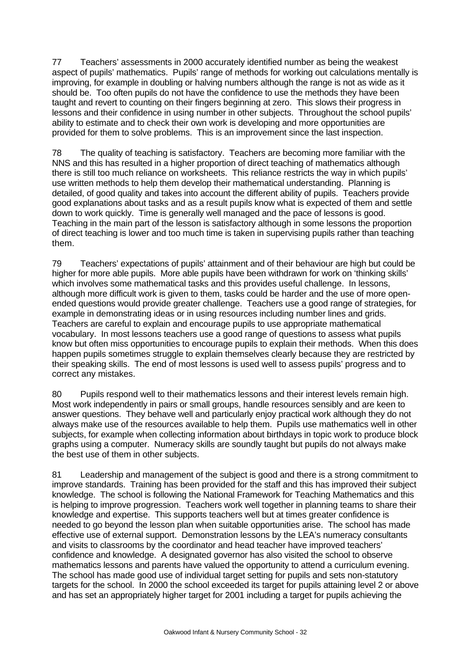77 Teachers' assessments in 2000 accurately identified number as being the weakest aspect of pupils' mathematics. Pupils' range of methods for working out calculations mentally is improving, for example in doubling or halving numbers although the range is not as wide as it should be. Too often pupils do not have the confidence to use the methods they have been taught and revert to counting on their fingers beginning at zero. This slows their progress in lessons and their confidence in using number in other subjects. Throughout the school pupils' ability to estimate and to check their own work is developing and more opportunities are provided for them to solve problems. This is an improvement since the last inspection.

78 The quality of teaching is satisfactory. Teachers are becoming more familiar with the NNS and this has resulted in a higher proportion of direct teaching of mathematics although there is still too much reliance on worksheets. This reliance restricts the way in which pupils' use written methods to help them develop their mathematical understanding. Planning is detailed, of good quality and takes into account the different ability of pupils. Teachers provide good explanations about tasks and as a result pupils know what is expected of them and settle down to work quickly. Time is generally well managed and the pace of lessons is good. Teaching in the main part of the lesson is satisfactory although in some lessons the proportion of direct teaching is lower and too much time is taken in supervising pupils rather than teaching them.

79 Teachers' expectations of pupils' attainment and of their behaviour are high but could be higher for more able pupils. More able pupils have been withdrawn for work on 'thinking skills' which involves some mathematical tasks and this provides useful challenge. In lessons, although more difficult work is given to them, tasks could be harder and the use of more openended questions would provide greater challenge. Teachers use a good range of strategies, for example in demonstrating ideas or in using resources including number lines and grids. Teachers are careful to explain and encourage pupils to use appropriate mathematical vocabulary. In most lessons teachers use a good range of questions to assess what pupils know but often miss opportunities to encourage pupils to explain their methods. When this does happen pupils sometimes struggle to explain themselves clearly because they are restricted by their speaking skills. The end of most lessons is used well to assess pupils' progress and to correct any mistakes.

80 Pupils respond well to their mathematics lessons and their interest levels remain high. Most work independently in pairs or small groups, handle resources sensibly and are keen to answer questions. They behave well and particularly enjoy practical work although they do not always make use of the resources available to help them. Pupils use mathematics well in other subjects, for example when collecting information about birthdays in topic work to produce block graphs using a computer. Numeracy skills are soundly taught but pupils do not always make the best use of them in other subjects.

81 Leadership and management of the subject is good and there is a strong commitment to improve standards. Training has been provided for the staff and this has improved their subject knowledge. The school is following the National Framework for Teaching Mathematics and this is helping to improve progression. Teachers work well together in planning teams to share their knowledge and expertise. This supports teachers well but at times greater confidence is needed to go beyond the lesson plan when suitable opportunities arise. The school has made effective use of external support. Demonstration lessons by the LEA's numeracy consultants and visits to classrooms by the coordinator and head teacher have improved teachers' confidence and knowledge. A designated governor has also visited the school to observe mathematics lessons and parents have valued the opportunity to attend a curriculum evening. The school has made good use of individual target setting for pupils and sets non-statutory targets for the school. In 2000 the school exceeded its target for pupils attaining level 2 or above and has set an appropriately higher target for 2001 including a target for pupils achieving the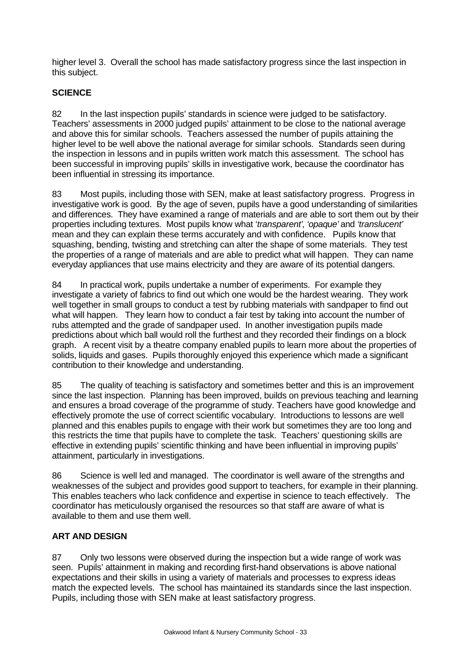higher level 3. Overall the school has made satisfactory progress since the last inspection in this subject.

### **SCIENCE**

82 In the last inspection pupils' standards in science were judged to be satisfactory. Teachers' assessments in 2000 judged pupils' attainment to be close to the national average and above this for similar schools. Teachers assessed the number of pupils attaining the higher level to be well above the national average for similar schools. Standards seen during the inspection in lessons and in pupils written work match this assessment. The school has been successful in improving pupils' skills in investigative work, because the coordinator has been influential in stressing its importance.

83 Most pupils, including those with SEN, make at least satisfactory progress. Progress in investigative work is good. By the age of seven, pupils have a good understanding of similarities and differences. They have examined a range of materials and are able to sort them out by their properties including textures. Most pupils know what '*transparent'*, *'opaque'* and *'translucent'* mean and they can explain these terms accurately and with confidence. Pupils know that squashing, bending, twisting and stretching can alter the shape of some materials. They test the properties of a range of materials and are able to predict what will happen. They can name everyday appliances that use mains electricity and they are aware of its potential dangers.

84 In practical work, pupils undertake a number of experiments. For example they investigate a variety of fabrics to find out which one would be the hardest wearing. They work well together in small groups to conduct a test by rubbing materials with sandpaper to find out what will happen. They learn how to conduct a fair test by taking into account the number of rubs attempted and the grade of sandpaper used. In another investigation pupils made predictions about which ball would roll the furthest and they recorded their findings on a block graph. A recent visit by a theatre company enabled pupils to learn more about the properties of solids, liquids and gases. Pupils thoroughly enjoyed this experience which made a significant contribution to their knowledge and understanding.

85 The quality of teaching is satisfactory and sometimes better and this is an improvement since the last inspection. Planning has been improved, builds on previous teaching and learning and ensures a broad coverage of the programme of study. Teachers have good knowledge and effectively promote the use of correct scientific vocabulary. Introductions to lessons are well planned and this enables pupils to engage with their work but sometimes they are too long and this restricts the time that pupils have to complete the task. Teachers' questioning skills are effective in extending pupils' scientific thinking and have been influential in improving pupils' attainment, particularly in investigations.

86 Science is well led and managed. The coordinator is well aware of the strengths and weaknesses of the subject and provides good support to teachers, for example in their planning. This enables teachers who lack confidence and expertise in science to teach effectively. The coordinator has meticulously organised the resources so that staff are aware of what is available to them and use them well.

### **ART AND DESIGN**

87 Only two lessons were observed during the inspection but a wide range of work was seen. Pupils' attainment in making and recording first-hand observations is above national expectations and their skills in using a variety of materials and processes to express ideas match the expected levels. The school has maintained its standards since the last inspection. Pupils, including those with SEN make at least satisfactory progress.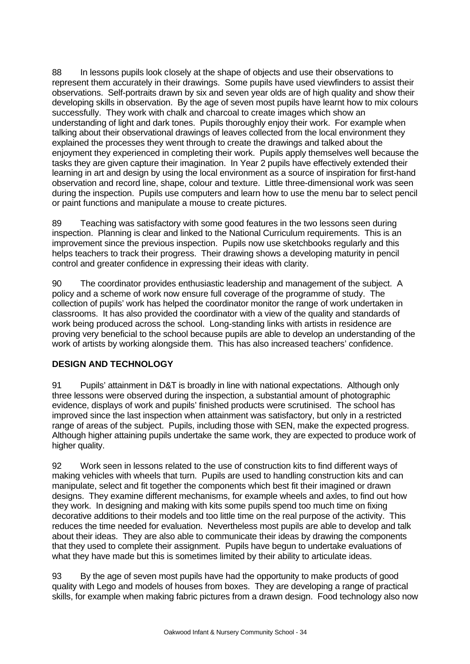88 In lessons pupils look closely at the shape of objects and use their observations to represent them accurately in their drawings. Some pupils have used viewfinders to assist their observations. Self-portraits drawn by six and seven year olds are of high quality and show their developing skills in observation. By the age of seven most pupils have learnt how to mix colours successfully. They work with chalk and charcoal to create images which show an understanding of light and dark tones. Pupils thoroughly enjoy their work. For example when talking about their observational drawings of leaves collected from the local environment they explained the processes they went through to create the drawings and talked about the enjoyment they experienced in completing their work. Pupils apply themselves well because the tasks they are given capture their imagination. In Year 2 pupils have effectively extended their learning in art and design by using the local environment as a source of inspiration for first-hand observation and record line, shape, colour and texture. Little three-dimensional work was seen during the inspection. Pupils use computers and learn how to use the menu bar to select pencil or paint functions and manipulate a mouse to create pictures.

89 Teaching was satisfactory with some good features in the two lessons seen during inspection. Planning is clear and linked to the National Curriculum requirements. This is an improvement since the previous inspection. Pupils now use sketchbooks regularly and this helps teachers to track their progress. Their drawing shows a developing maturity in pencil control and greater confidence in expressing their ideas with clarity.

90 The coordinator provides enthusiastic leadership and management of the subject. A policy and a scheme of work now ensure full coverage of the programme of study. The collection of pupils' work has helped the coordinator monitor the range of work undertaken in classrooms. It has also provided the coordinator with a view of the quality and standards of work being produced across the school. Long-standing links with artists in residence are proving very beneficial to the school because pupils are able to develop an understanding of the work of artists by working alongside them. This has also increased teachers' confidence.

### **DESIGN AND TECHNOLOGY**

91 Pupils' attainment in D&T is broadly in line with national expectations. Although only three lessons were observed during the inspection, a substantial amount of photographic evidence, displays of work and pupils' finished products were scrutinised. The school has improved since the last inspection when attainment was satisfactory, but only in a restricted range of areas of the subject. Pupils, including those with SEN, make the expected progress. Although higher attaining pupils undertake the same work, they are expected to produce work of higher quality.

92 Work seen in lessons related to the use of construction kits to find different ways of making vehicles with wheels that turn. Pupils are used to handling construction kits and can manipulate, select and fit together the components which best fit their imagined or drawn designs. They examine different mechanisms, for example wheels and axles, to find out how they work. In designing and making with kits some pupils spend too much time on fixing decorative additions to their models and too little time on the real purpose of the activity. This reduces the time needed for evaluation. Nevertheless most pupils are able to develop and talk about their ideas. They are also able to communicate their ideas by drawing the components that they used to complete their assignment. Pupils have begun to undertake evaluations of what they have made but this is sometimes limited by their ability to articulate ideas.

93 By the age of seven most pupils have had the opportunity to make products of good quality with Lego and models of houses from boxes. They are developing a range of practical skills, for example when making fabric pictures from a drawn design. Food technology also now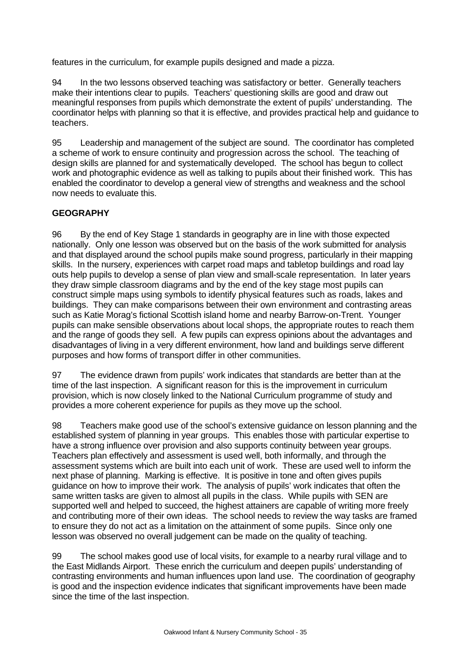features in the curriculum, for example pupils designed and made a pizza.

94 In the two lessons observed teaching was satisfactory or better. Generally teachers make their intentions clear to pupils. Teachers' questioning skills are good and draw out meaningful responses from pupils which demonstrate the extent of pupils' understanding. The coordinator helps with planning so that it is effective, and provides practical help and guidance to teachers.

95 Leadership and management of the subject are sound. The coordinator has completed a scheme of work to ensure continuity and progression across the school. The teaching of design skills are planned for and systematically developed. The school has begun to collect work and photographic evidence as well as talking to pupils about their finished work. This has enabled the coordinator to develop a general view of strengths and weakness and the school now needs to evaluate this.

### **GEOGRAPHY**

96 By the end of Key Stage 1 standards in geography are in line with those expected nationally. Only one lesson was observed but on the basis of the work submitted for analysis and that displayed around the school pupils make sound progress, particularly in their mapping skills. In the nursery, experiences with carpet road maps and tabletop buildings and road lay outs help pupils to develop a sense of plan view and small-scale representation. In later years they draw simple classroom diagrams and by the end of the key stage most pupils can construct simple maps using symbols to identify physical features such as roads, lakes and buildings. They can make comparisons between their own environment and contrasting areas such as Katie Morag's fictional Scottish island home and nearby Barrow-on-Trent. Younger pupils can make sensible observations about local shops, the appropriate routes to reach them and the range of goods they sell. A few pupils can express opinions about the advantages and disadvantages of living in a very different environment, how land and buildings serve different purposes and how forms of transport differ in other communities.

97 The evidence drawn from pupils' work indicates that standards are better than at the time of the last inspection. A significant reason for this is the improvement in curriculum provision, which is now closely linked to the National Curriculum programme of study and provides a more coherent experience for pupils as they move up the school.

98 Teachers make good use of the school's extensive guidance on lesson planning and the established system of planning in year groups. This enables those with particular expertise to have a strong influence over provision and also supports continuity between year groups. Teachers plan effectively and assessment is used well, both informally, and through the assessment systems which are built into each unit of work. These are used well to inform the next phase of planning. Marking is effective. It is positive in tone and often gives pupils guidance on how to improve their work. The analysis of pupils' work indicates that often the same written tasks are given to almost all pupils in the class. While pupils with SEN are supported well and helped to succeed, the highest attainers are capable of writing more freely and contributing more of their own ideas. The school needs to review the way tasks are framed to ensure they do not act as a limitation on the attainment of some pupils. Since only one lesson was observed no overall judgement can be made on the quality of teaching.

99 The school makes good use of local visits, for example to a nearby rural village and to the East Midlands Airport. These enrich the curriculum and deepen pupils' understanding of contrasting environments and human influences upon land use. The coordination of geography is good and the inspection evidence indicates that significant improvements have been made since the time of the last inspection.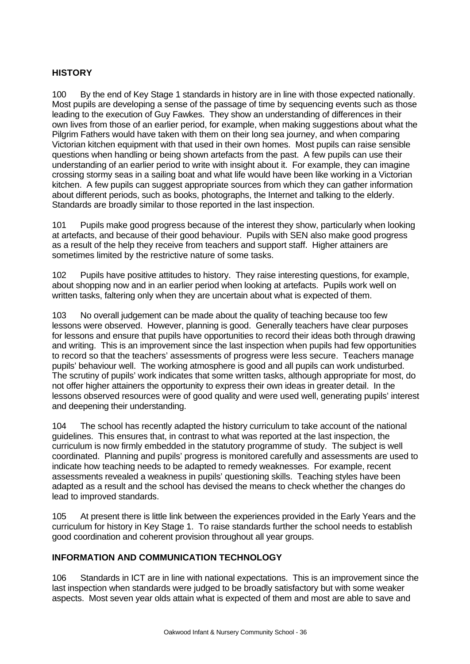### **HISTORY**

100 By the end of Key Stage 1 standards in history are in line with those expected nationally. Most pupils are developing a sense of the passage of time by sequencing events such as those leading to the execution of Guy Fawkes. They show an understanding of differences in their own lives from those of an earlier period, for example, when making suggestions about what the Pilgrim Fathers would have taken with them on their long sea journey, and when comparing Victorian kitchen equipment with that used in their own homes. Most pupils can raise sensible questions when handling or being shown artefacts from the past. A few pupils can use their understanding of an earlier period to write with insight about it. For example, they can imagine crossing stormy seas in a sailing boat and what life would have been like working in a Victorian kitchen. A few pupils can suggest appropriate sources from which they can gather information about different periods, such as books, photographs, the Internet and talking to the elderly. Standards are broadly similar to those reported in the last inspection.

101 Pupils make good progress because of the interest they show, particularly when looking at artefacts, and because of their good behaviour. Pupils with SEN also make good progress as a result of the help they receive from teachers and support staff. Higher attainers are sometimes limited by the restrictive nature of some tasks.

102 Pupils have positive attitudes to history. They raise interesting questions, for example, about shopping now and in an earlier period when looking at artefacts. Pupils work well on written tasks, faltering only when they are uncertain about what is expected of them.

103 No overall judgement can be made about the quality of teaching because too few lessons were observed. However, planning is good. Generally teachers have clear purposes for lessons and ensure that pupils have opportunities to record their ideas both through drawing and writing. This is an improvement since the last inspection when pupils had few opportunities to record so that the teachers' assessments of progress were less secure. Teachers manage pupils' behaviour well. The working atmosphere is good and all pupils can work undisturbed. The scrutiny of pupils' work indicates that some written tasks, although appropriate for most, do not offer higher attainers the opportunity to express their own ideas in greater detail. In the lessons observed resources were of good quality and were used well, generating pupils' interest and deepening their understanding.

104 The school has recently adapted the history curriculum to take account of the national guidelines. This ensures that, in contrast to what was reported at the last inspection, the curriculum is now firmly embedded in the statutory programme of study. The subject is well coordinated. Planning and pupils' progress is monitored carefully and assessments are used to indicate how teaching needs to be adapted to remedy weaknesses. For example, recent assessments revealed a weakness in pupils' questioning skills. Teaching styles have been adapted as a result and the school has devised the means to check whether the changes do lead to improved standards.

105 At present there is little link between the experiences provided in the Early Years and the curriculum for history in Key Stage 1. To raise standards further the school needs to establish good coordination and coherent provision throughout all year groups.

### **INFORMATION AND COMMUNICATION TECHNOLOGY**

106 Standards in ICT are in line with national expectations. This is an improvement since the last inspection when standards were judged to be broadly satisfactory but with some weaker aspects. Most seven year olds attain what is expected of them and most are able to save and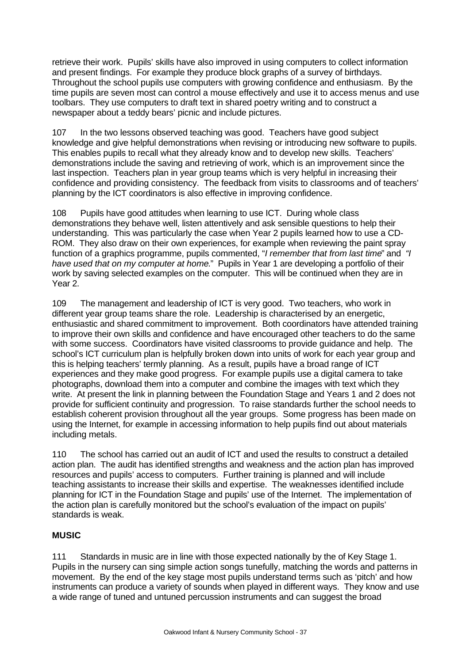retrieve their work. Pupils' skills have also improved in using computers to collect information and present findings. For example they produce block graphs of a survey of birthdays. Throughout the school pupils use computers with growing confidence and enthusiasm. By the time pupils are seven most can control a mouse effectively and use it to access menus and use toolbars. They use computers to draft text in shared poetry writing and to construct a newspaper about a teddy bears' picnic and include pictures.

107 In the two lessons observed teaching was good. Teachers have good subject knowledge and give helpful demonstrations when revising or introducing new software to pupils. This enables pupils to recall what they already know and to develop new skills. Teachers' demonstrations include the saving and retrieving of work, which is an improvement since the last inspection. Teachers plan in year group teams which is very helpful in increasing their confidence and providing consistency. The feedback from visits to classrooms and of teachers' planning by the ICT coordinators is also effective in improving confidence.

108 Pupils have good attitudes when learning to use ICT. During whole class demonstrations they behave well, listen attentively and ask sensible questions to help their understanding. This was particularly the case when Year 2 pupils learned how to use a CD-ROM. They also draw on their own experiences, for example when reviewing the paint spray function of a graphics programme, pupils commented, "*I remember that from last time*" and *"I have used that on my computer at home*." Pupils in Year 1 are developing a portfolio of their work by saving selected examples on the computer. This will be continued when they are in Year 2.

109 The management and leadership of ICT is very good. Two teachers, who work in different year group teams share the role. Leadership is characterised by an energetic, enthusiastic and shared commitment to improvement. Both coordinators have attended training to improve their own skills and confidence and have encouraged other teachers to do the same with some success. Coordinators have visited classrooms to provide guidance and help. The school's ICT curriculum plan is helpfully broken down into units of work for each year group and this is helping teachers' termly planning. As a result, pupils have a broad range of ICT experiences and they make good progress. For example pupils use a digital camera to take photographs, download them into a computer and combine the images with text which they write. At present the link in planning between the Foundation Stage and Years 1 and 2 does not provide for sufficient continuity and progression. To raise standards further the school needs to establish coherent provision throughout all the year groups. Some progress has been made on using the Internet, for example in accessing information to help pupils find out about materials including metals.

110 The school has carried out an audit of ICT and used the results to construct a detailed action plan. The audit has identified strengths and weakness and the action plan has improved resources and pupils' access to computers. Further training is planned and will include teaching assistants to increase their skills and expertise. The weaknesses identified include planning for ICT in the Foundation Stage and pupils' use of the Internet. The implementation of the action plan is carefully monitored but the school's evaluation of the impact on pupils' standards is weak.

### **MUSIC**

111 Standards in music are in line with those expected nationally by the of Key Stage 1. Pupils in the nursery can sing simple action songs tunefully, matching the words and patterns in movement. By the end of the key stage most pupils understand terms such as 'pitch' and how instruments can produce a variety of sounds when played in different ways. They know and use a wide range of tuned and untuned percussion instruments and can suggest the broad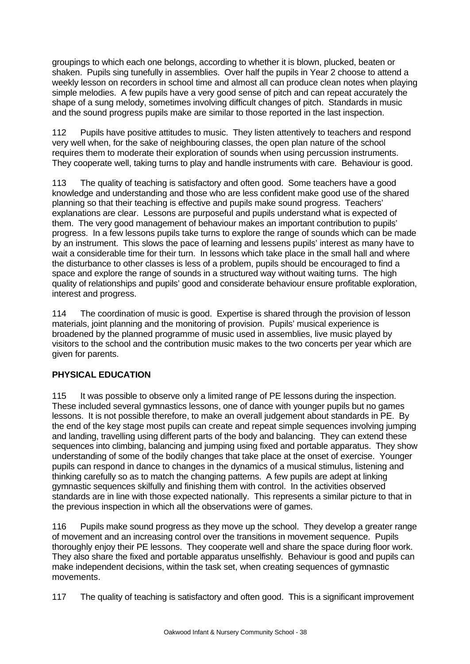groupings to which each one belongs, according to whether it is blown, plucked, beaten or shaken. Pupils sing tunefully in assemblies. Over half the pupils in Year 2 choose to attend a weekly lesson on recorders in school time and almost all can produce clean notes when playing simple melodies. A few pupils have a very good sense of pitch and can repeat accurately the shape of a sung melody, sometimes involving difficult changes of pitch. Standards in music and the sound progress pupils make are similar to those reported in the last inspection.

112 Pupils have positive attitudes to music. They listen attentively to teachers and respond very well when, for the sake of neighbouring classes, the open plan nature of the school requires them to moderate their exploration of sounds when using percussion instruments. They cooperate well, taking turns to play and handle instruments with care. Behaviour is good.

113 The quality of teaching is satisfactory and often good. Some teachers have a good knowledge and understanding and those who are less confident make good use of the shared planning so that their teaching is effective and pupils make sound progress. Teachers' explanations are clear. Lessons are purposeful and pupils understand what is expected of them. The very good management of behaviour makes an important contribution to pupils' progress. In a few lessons pupils take turns to explore the range of sounds which can be made by an instrument. This slows the pace of learning and lessens pupils' interest as many have to wait a considerable time for their turn. In lessons which take place in the small hall and where the disturbance to other classes is less of a problem, pupils should be encouraged to find a space and explore the range of sounds in a structured way without waiting turns. The high quality of relationships and pupils' good and considerate behaviour ensure profitable exploration, interest and progress.

114 The coordination of music is good. Expertise is shared through the provision of lesson materials, joint planning and the monitoring of provision. Pupils' musical experience is broadened by the planned programme of music used in assemblies, live music played by visitors to the school and the contribution music makes to the two concerts per year which are given for parents.

### **PHYSICAL EDUCATION**

115 It was possible to observe only a limited range of PE lessons during the inspection. These included several gymnastics lessons, one of dance with younger pupils but no games lessons. It is not possible therefore, to make an overall judgement about standards in PE. By the end of the key stage most pupils can create and repeat simple sequences involving jumping and landing, travelling using different parts of the body and balancing. They can extend these sequences into climbing, balancing and jumping using fixed and portable apparatus. They show understanding of some of the bodily changes that take place at the onset of exercise. Younger pupils can respond in dance to changes in the dynamics of a musical stimulus, listening and thinking carefully so as to match the changing patterns. A few pupils are adept at linking gymnastic sequences skilfully and finishing them with control. In the activities observed standards are in line with those expected nationally. This represents a similar picture to that in the previous inspection in which all the observations were of games.

116 Pupils make sound progress as they move up the school. They develop a greater range of movement and an increasing control over the transitions in movement sequence. Pupils thoroughly enjoy their PE lessons. They cooperate well and share the space during floor work. They also share the fixed and portable apparatus unselfishly. Behaviour is good and pupils can make independent decisions, within the task set, when creating sequences of gymnastic movements.

117 The quality of teaching is satisfactory and often good. This is a significant improvement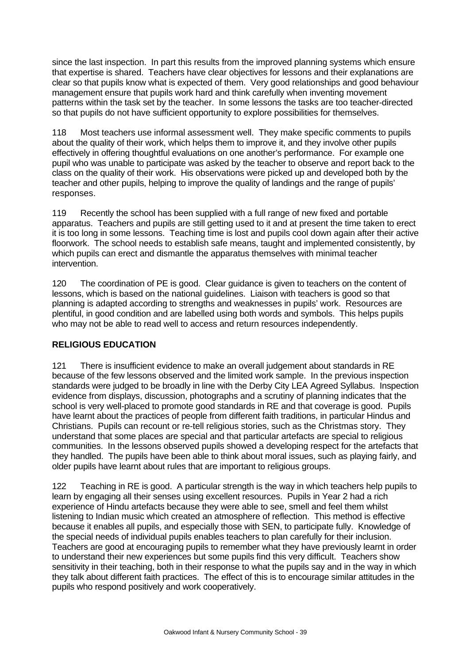since the last inspection. In part this results from the improved planning systems which ensure that expertise is shared. Teachers have clear objectives for lessons and their explanations are clear so that pupils know what is expected of them. Very good relationships and good behaviour management ensure that pupils work hard and think carefully when inventing movement patterns within the task set by the teacher. In some lessons the tasks are too teacher-directed so that pupils do not have sufficient opportunity to explore possibilities for themselves.

118 Most teachers use informal assessment well. They make specific comments to pupils about the quality of their work, which helps them to improve it, and they involve other pupils effectively in offering thoughtful evaluations on one another's performance. For example one pupil who was unable to participate was asked by the teacher to observe and report back to the class on the quality of their work. His observations were picked up and developed both by the teacher and other pupils, helping to improve the quality of landings and the range of pupils' responses.

119 Recently the school has been supplied with a full range of new fixed and portable apparatus. Teachers and pupils are still getting used to it and at present the time taken to erect it is too long in some lessons. Teaching time is lost and pupils cool down again after their active floorwork. The school needs to establish safe means, taught and implemented consistently, by which pupils can erect and dismantle the apparatus themselves with minimal teacher intervention.

120 The coordination of PE is good. Clear guidance is given to teachers on the content of lessons, which is based on the national guidelines. Liaison with teachers is good so that planning is adapted according to strengths and weaknesses in pupils' work. Resources are plentiful, in good condition and are labelled using both words and symbols. This helps pupils who may not be able to read well to access and return resources independently.

### **RELIGIOUS EDUCATION**

121 There is insufficient evidence to make an overall judgement about standards in RE because of the few lessons observed and the limited work sample. In the previous inspection standards were judged to be broadly in line with the Derby City LEA Agreed Syllabus. Inspection evidence from displays, discussion, photographs and a scrutiny of planning indicates that the school is very well-placed to promote good standards in RE and that coverage is good. Pupils have learnt about the practices of people from different faith traditions, in particular Hindus and Christians. Pupils can recount or re-tell religious stories, such as the Christmas story. They understand that some places are special and that particular artefacts are special to religious communities. In the lessons observed pupils showed a developing respect for the artefacts that they handled. The pupils have been able to think about moral issues, such as playing fairly, and older pupils have learnt about rules that are important to religious groups.

122 Teaching in RE is good. A particular strength is the way in which teachers help pupils to learn by engaging all their senses using excellent resources. Pupils in Year 2 had a rich experience of Hindu artefacts because they were able to see, smell and feel them whilst listening to Indian music which created an atmosphere of reflection. This method is effective because it enables all pupils, and especially those with SEN, to participate fully. Knowledge of the special needs of individual pupils enables teachers to plan carefully for their inclusion. Teachers are good at encouraging pupils to remember what they have previously learnt in order to understand their new experiences but some pupils find this very difficult. Teachers show sensitivity in their teaching, both in their response to what the pupils say and in the way in which they talk about different faith practices. The effect of this is to encourage similar attitudes in the pupils who respond positively and work cooperatively.